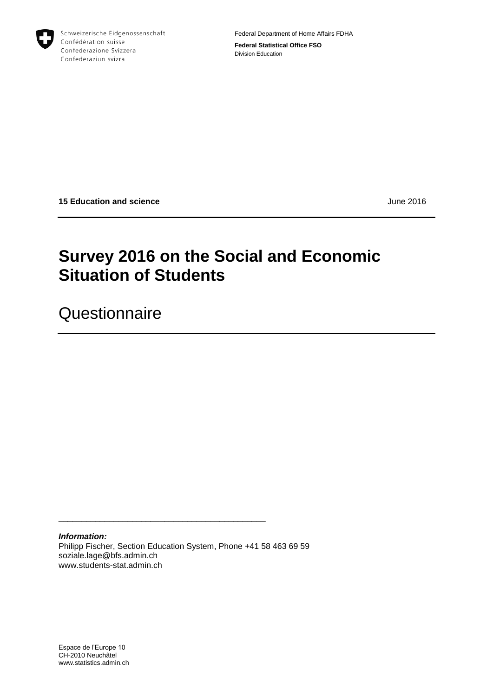

Schweizerische Eidgenossenschaft Confédération suisse Confederazione Svizzera Confederaziun svizra

Federal Department of Home Affairs FDHA **Federal Statistical Office FSO** Division Education

**15 Education and science** June 2016

# **Survey 2016 on the Social and Economic Situation of Students**

**Questionnaire** 

*Information:* Philipp Fischer, Section Education System, Phone +41 58 463 69 59 soziale.lage@bfs.admin.ch www.students-stat.admin.ch

\_\_\_\_\_\_\_\_\_\_\_\_\_\_\_\_\_\_\_\_\_\_\_\_\_\_\_\_\_\_\_\_\_\_\_\_\_\_\_\_\_\_\_\_\_

Espace de l'Europe 10 CH-2010 Neuchâtel www.statistics.admin.ch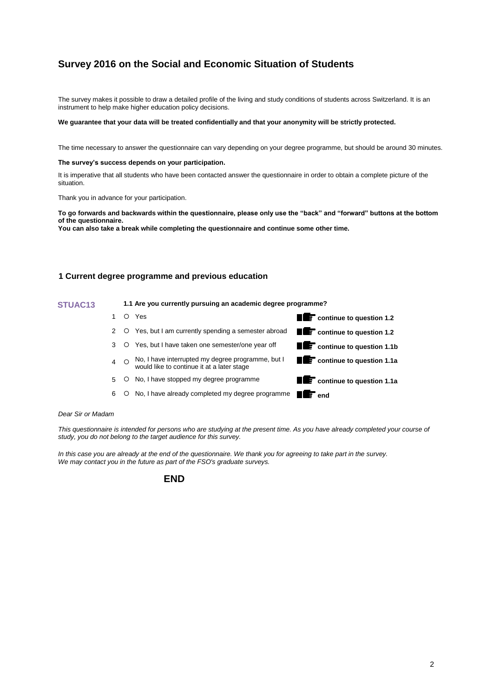# **Survey 2016 on the Social and Economic Situation of Students**

The survey makes it possible to draw a detailed profile of the living and study conditions of students across Switzerland. It is an instrument to help make higher education policy decisions.

#### We guarantee that your data will be treated confidentially and that your anonymity will be strictly protected.

The time necessary to answer the questionnaire can vary depending on your degree programme, but should be around 30 minutes.

#### **The survey's success depends on your participation.**

It is imperative that all students who have been contacted answer the questionnaire in order to obtain a complete picture of the situation.

Thank you in advance for your participation.

**To go forwards and backwards within the questionnaire, please only use the "back" and "forward" buttons at the bottom of the questionnaire.** 

**You can also take a break while completing the questionnaire and continue some other time.**

# **1 Current degree programme and previous education**

#### **STUAC13 1.1 Are you currently pursuing an academic degree programme?**

1 Yes **continue to question 1.2** 2 O Yes, but I am currently spending a semester abroad **continue to question 1.2** 3 Yes, but I have taken one semester/one year off **continue to question 1.1b** 4 O No, I have interrupted my degree programme, but I would like to continue it at a later stage **continue to question 1.1a** 5 O No, I have stopped my degree programme 6  $\circ$  No, I have already completed my degree programme **example 2 end** 

#### *Dear Sir or Madam*

*This questionnaire is intended for persons who are studying at the present time. As you have already completed your course of study, you do not belong to the target audience for this survey.*

*In this case you are already at the end of the questionnaire. We thank you for agreeing to take part in the survey. We may contact you in the future as part of the FSO's graduate surveys.*

# **END**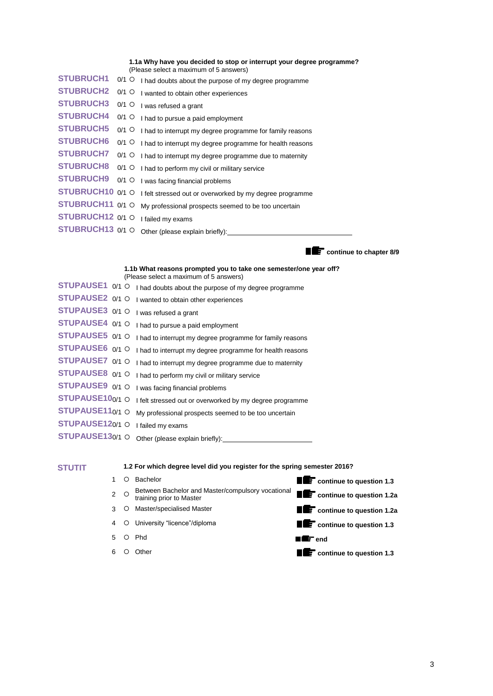**1.1a Why have you decided to stop or interrupt your degree programme?** (Please select a maximum of 5 answers)

| <b>STUBRUCH1</b> | $0/1$ O I had doubts about the purpose of my degree programme             |
|------------------|---------------------------------------------------------------------------|
| <b>STUBRUCH2</b> | $0/1$ O I wanted to obtain other experiences                              |
| <b>STUBRUCH3</b> | $0/1$ O I was refused a grant                                             |
| <b>STUBRUCH4</b> | $0/1$ O I had to pursue a paid employment                                 |
| <b>STUBRUCH5</b> | $0/1$ O I had to interrupt my degree programme for family reasons         |
| <b>STUBRUCH6</b> | $0/1$ O I had to interrupt my degree programme for health reasons         |
| <b>STUBRUCH7</b> | $0/1$ O I had to interrupt my degree programme due to maternity           |
| <b>STUBRUCH8</b> | $0/1$ O I had to perform my civil or military service                     |
| <b>STUBRUCH9</b> | $0/1$ O I was facing financial problems                                   |
|                  | STUBRUCH10 0/1 O   felt stressed out or overworked by my degree programme |
| STUBRUCH11 0/1 O | My professional prospects seemed to be too uncertain                      |
| STUBRUCH12 0/1 O | I failed my exams                                                         |
| STUBRUCH13 0/1 O |                                                                           |
|                  |                                                                           |

**continue to chapter 8/9** 

|                 | 1.1b What reasons prompted you to take one semester/one year off?<br>(Please select a maximum of 5 answers) |
|-----------------|-------------------------------------------------------------------------------------------------------------|
|                 | STUPAUSE1 0/1 O I had doubts about the purpose of my degree programme                                       |
| STUPAUSE2 0/1 O | I wanted to obtain other experiences                                                                        |
| STUPAUSE3 0/1 O | I was refused a grant                                                                                       |
| STUPAUSE4 0/1 O | I had to pursue a paid employment                                                                           |
| STUPAUSE5 0/1 O | I had to interrupt my degree programme for family reasons                                                   |
| STUPAUSE6 0/1 O | I had to interrupt my degree programme for health reasons                                                   |
| STUPAUSE7 0/1 O | I had to interrupt my degree programme due to maternity                                                     |
| STUPAUSE8 0/1 O | I had to perform my civil or military service                                                               |
| STUPAUSE9 0/1 O | I was facing financial problems                                                                             |
| STUPAUSE100/1 O | I felt stressed out or overworked by my degree programme                                                    |
| STUPAUSE110/1 O | My professional prospects seemed to be too uncertain                                                        |
| STUPAUSE120/1 O | I failed my exams                                                                                           |
| STUPAUSE130/1 O | Other (please explain briefly):                                                                             |

**STUTIT 1.2 For which degree level did you register for the spring semester 2016?**

|             | Bachelor                                                                      | <b>THE CONTINUE TO QUESTION 1.3</b>                                                                                                                                                                                                                                                                                                                                                                                                                                                        |
|-------------|-------------------------------------------------------------------------------|--------------------------------------------------------------------------------------------------------------------------------------------------------------------------------------------------------------------------------------------------------------------------------------------------------------------------------------------------------------------------------------------------------------------------------------------------------------------------------------------|
| $2^{\circ}$ | Between Bachelor and Master/compulsory vocational<br>training prior to Master | <b>TE</b> continue to question 1.2a                                                                                                                                                                                                                                                                                                                                                                                                                                                        |
| 3 O         | Master/specialised Master                                                     | <b>THE</b> continue to question 1.2a                                                                                                                                                                                                                                                                                                                                                                                                                                                       |
|             | 4 O University "licence"/diploma                                              | <b>THE</b> continue to question 1.3                                                                                                                                                                                                                                                                                                                                                                                                                                                        |
|             | 5 O Phd                                                                       | $\blacksquare$ $\blacksquare$ $\blacksquare$ $\blacksquare$ $\blacksquare$ $\blacksquare$ $\blacksquare$ $\blacksquare$ $\blacksquare$ $\blacksquare$ $\blacksquare$ $\blacksquare$ $\blacksquare$ $\blacksquare$ $\blacksquare$ $\blacksquare$ $\blacksquare$ $\blacksquare$ $\blacksquare$ $\blacksquare$ $\blacksquare$ $\blacksquare$ $\blacksquare$ $\blacksquare$ $\blacksquare$ $\blacksquare$ $\blacksquare$ $\blacksquare$ $\blacksquare$ $\blacksquare$ $\blacksquare$ $\blacks$ |
| 6 O         | Other                                                                         | <b>THE</b> continue to question 1.3                                                                                                                                                                                                                                                                                                                                                                                                                                                        |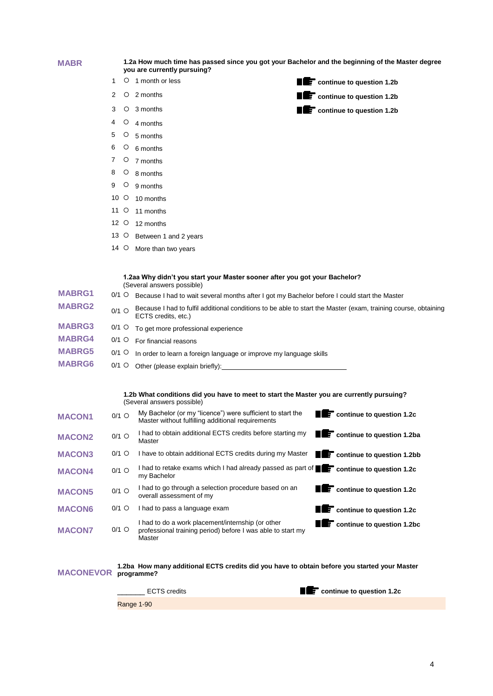| <b>MABR</b>      |         |         | 1.2a How much time has passed since you got your Bachelor and the beginning of the Master degree<br>you are currently pursuing?                                                                                                |                                              |
|------------------|---------|---------|--------------------------------------------------------------------------------------------------------------------------------------------------------------------------------------------------------------------------------|----------------------------------------------|
|                  | 1       | $\circ$ | 1 month or less                                                                                                                                                                                                                | <b>TE</b> continue to question 1.2b          |
|                  | 2       |         | $O2$ months                                                                                                                                                                                                                    | <b>TE</b> continue to question 1.2b          |
|                  | 3       | $\circ$ | 3 months                                                                                                                                                                                                                       | <b>THE</b> continue to question 1.2b         |
|                  | 4       | $\circ$ | 4 months                                                                                                                                                                                                                       |                                              |
|                  | 5       | $\circ$ | 5 months                                                                                                                                                                                                                       |                                              |
|                  | 6       | $\circ$ | 6 months                                                                                                                                                                                                                       |                                              |
|                  | 7       | $\circ$ | 7 months                                                                                                                                                                                                                       |                                              |
|                  | 8       | $\circ$ | 8 months                                                                                                                                                                                                                       |                                              |
|                  | 9       | $\circ$ | 9 months                                                                                                                                                                                                                       |                                              |
|                  | 10 O    |         | 10 months                                                                                                                                                                                                                      |                                              |
|                  | $11$ O  |         | 11 months                                                                                                                                                                                                                      |                                              |
|                  | 12 O    |         | 12 months                                                                                                                                                                                                                      |                                              |
|                  | 13 O    |         | Between 1 and 2 years                                                                                                                                                                                                          |                                              |
|                  | 14 O    |         | More than two years                                                                                                                                                                                                            |                                              |
|                  |         |         |                                                                                                                                                                                                                                |                                              |
|                  |         |         | 1.2aa Why didn't you start your Master sooner after you got your Bachelor?<br>(Several answers possible)                                                                                                                       |                                              |
| <b>MABRG1</b>    |         | 0/1 O   | Because I had to wait several months after I got my Bachelor before I could start the Master                                                                                                                                   |                                              |
| <b>MABRG2</b>    | $0/1$ O |         | Because I had to fulfil additional conditions to be able to start the Master (exam, training course, obtaining<br>ECTS credits, etc.)                                                                                          |                                              |
| <b>MABRG3</b>    | $0/1$ O |         | To get more professional experience                                                                                                                                                                                            |                                              |
| <b>MABRG4</b>    | $0/1$ O |         | For financial reasons                                                                                                                                                                                                          |                                              |
| <b>MABRG5</b>    | $0/1$ O |         | In order to learn a foreign language or improve my language skills                                                                                                                                                             |                                              |
| <b>MABRG6</b>    | $0/1$ O |         | Other (please explain briefly): 0.000 minutes and contact the control of the control of the control of the control of the control of the control of the control of the control of the control of the control of the control of |                                              |
|                  |         |         | 1.2b What conditions did you have to meet to start the Master you are currently pursuing?                                                                                                                                      |                                              |
|                  |         |         | (Several answers possible)                                                                                                                                                                                                     |                                              |
| <b>MACON1</b>    |         | $0/1$ O | My Bachelor (or my "licence") were sufficient to start the<br>Master without fulfilling additional requirements                                                                                                                | <b>THE CONTINUE TO QUESTION 1.2C</b>         |
| <b>MACON2</b>    |         | $0/1$ O | I had to obtain additional ECTS credits before starting my<br>Master                                                                                                                                                           | <b>TE</b> continue to question 1.2ba         |
| <b>MACON3</b>    |         | $0/1$ O | I have to obtain additional ECTS credits during my Master                                                                                                                                                                      | <b>TE</b> continue to question 1.2bb         |
| <b>MACON4</b>    |         | $0/1$ O | I had to retake exams which I had already passed as part of <b>Fuller</b> continue to question 1.2c<br>my Bachelor                                                                                                             |                                              |
| <b>MACON5</b>    |         | $0/1$ O | I had to go through a selection procedure based on an<br>overall assessment of my                                                                                                                                              | continue to question 1.2c<br>Ш               |
| <b>MACON6</b>    |         | $0/1$ O | I had to pass a language exam                                                                                                                                                                                                  | $\blacksquare$<br>continue to question 1.2c  |
| <b>MACON7</b>    |         | $0/1$ O | I had to do a work placement/internship (or other<br>professional training period) before I was able to start my<br>Master                                                                                                     | T<br>$\mathbf{F}$ continue to question 1.2bc |
| <b>MACONEVOR</b> |         |         | 1.2ba How many additional ECTS credits did you have to obtain before you started your Master<br>programme?                                                                                                                     |                                              |
|                  |         |         | <b>ECTS</b> credits                                                                                                                                                                                                            | $\mathbf{F}$ continue to question 1.2c       |

Range 1-90

4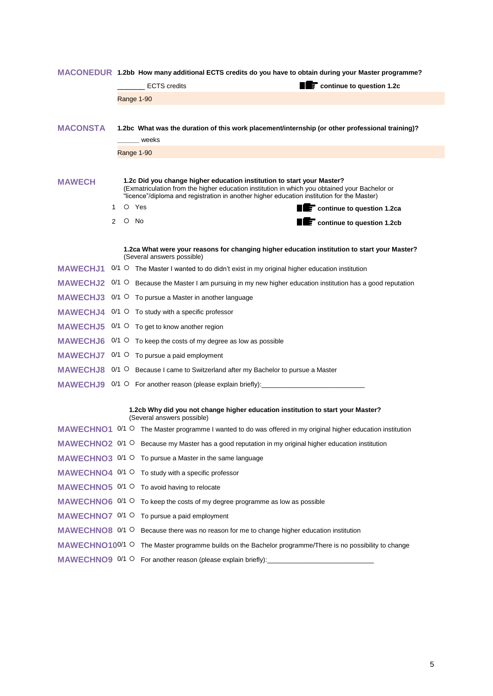|                 |   | MACONEDUR 1.2bb How many additional ECTS credits do you have to obtain during your Master programme?                                                                                                                                                                  |
|-----------------|---|-----------------------------------------------------------------------------------------------------------------------------------------------------------------------------------------------------------------------------------------------------------------------|
|                 |   | <b>TE</b> continue to question 1.2c<br><b>ECTS</b> credits                                                                                                                                                                                                            |
|                 |   | Range 1-90                                                                                                                                                                                                                                                            |
|                 |   |                                                                                                                                                                                                                                                                       |
| <b>MACONSTA</b> |   | 1.2bc What was the duration of this work placement/internship (or other professional training)?                                                                                                                                                                       |
|                 |   | weeks                                                                                                                                                                                                                                                                 |
|                 |   | Range 1-90                                                                                                                                                                                                                                                            |
|                 |   |                                                                                                                                                                                                                                                                       |
| <b>MAWECH</b>   |   | 1.2c Did you change higher education institution to start your Master?<br>(Exmatriculation from the higher education institution in which you obtained your Bachelor or<br>"licence"/diploma and registration in another higher education institution for the Master) |
|                 | 1 | O Yes<br><b>TE</b> continue to question 1.2ca                                                                                                                                                                                                                         |
|                 | 2 | $\circ$ No<br>continue to question 1.2cb                                                                                                                                                                                                                              |
|                 |   |                                                                                                                                                                                                                                                                       |
|                 |   | 1.2ca What were your reasons for changing higher education institution to start your Master?<br>(Several answers possible)                                                                                                                                            |
| <b>MAWECHJ1</b> |   | $0/1$ $\circ$ The Master I wanted to do didn't exist in my original higher education institution                                                                                                                                                                      |
|                 |   | MAWECHJ2 0/1 O Because the Master I am pursuing in my new higher education institution has a good reputation                                                                                                                                                          |
| <b>MAWECHJ3</b> |   | $0/1$ $\circ$ To pursue a Master in another language                                                                                                                                                                                                                  |
| <b>MAWECHJ4</b> |   | $0/1$ $\circ$ To study with a specific professor                                                                                                                                                                                                                      |
|                 |   | <b>MAWECHJ5</b> $0/1$ O To get to know another region                                                                                                                                                                                                                 |
|                 |   | <b>MAWECHJ6</b> $0/1$ O To keep the costs of my degree as low as possible                                                                                                                                                                                             |
|                 |   | $MAWECHJ7 0/1$ O To pursue a paid employment                                                                                                                                                                                                                          |
|                 |   | <b>MAWECHJ8</b> 0/1 O Because I came to Switzerland after my Bachelor to pursue a Master                                                                                                                                                                              |
|                 |   | MAWECHJ9 0/1 O For another reason (please explain briefly): _____________________                                                                                                                                                                                     |
|                 |   |                                                                                                                                                                                                                                                                       |
|                 |   | 1.2cb Why did you not change higher education institution to start your Master?<br>(Several answers possible)                                                                                                                                                         |
|                 |   | MAWECHNO1 0/1 O The Master programme I wanted to do was offered in my original higher education institution                                                                                                                                                           |
|                 |   | MAWECHNO2 0/1 O Because my Master has a good reputation in my original higher education institution                                                                                                                                                                   |
|                 |   | MAWECHNO3 0/1 O To pursue a Master in the same language                                                                                                                                                                                                               |
|                 |   | <b>MAWECHNO4</b> $0/1$ O To study with a specific professor                                                                                                                                                                                                           |
|                 |   | MAWECHNO5 0/1 O To avoid having to relocate                                                                                                                                                                                                                           |
|                 |   | <b>MAWECHNO6</b> $0/1$ O To keep the costs of my degree programme as low as possible                                                                                                                                                                                  |
|                 |   | MAWECHNO7 0/1 O To pursue a paid employment                                                                                                                                                                                                                           |
|                 |   | MAWECHNO8 0/1 O Because there was no reason for me to change higher education institution                                                                                                                                                                             |
|                 |   | MAWECHNO100/1 O The Master programme builds on the Bachelor programme/There is no possibility to change                                                                                                                                                               |
|                 |   | MAWECHNO9 0/1 O For another reason (please explain briefly): ____________________                                                                                                                                                                                     |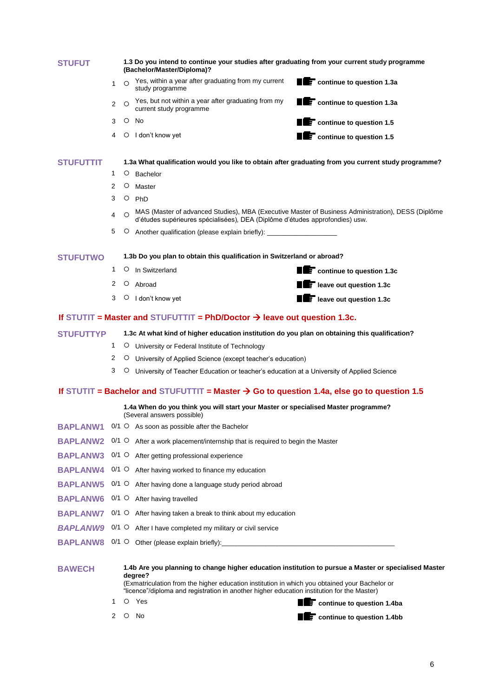| <b>STUFUT</b>    |                      |         | 1.3 Do you intend to continue your studies after graduating from your current study programme<br>(Bachelor/Master/Diploma)?                                                                                                                                                                                     |                                                   |
|------------------|----------------------|---------|-----------------------------------------------------------------------------------------------------------------------------------------------------------------------------------------------------------------------------------------------------------------------------------------------------------------|---------------------------------------------------|
|                  | 1                    | $\circ$ | Yes, within a year after graduating from my current<br>study programme                                                                                                                                                                                                                                          | <b>THE CONTINUE TO QUESTION 1.3a</b>              |
|                  | 2                    | $\circ$ | Yes, but not within a year after graduating from my<br>current study programme                                                                                                                                                                                                                                  | $\blacksquare$ continue to question 1.3a          |
|                  | 3                    | $\circ$ | No                                                                                                                                                                                                                                                                                                              | $\epsilon$ continue to question 1.5               |
|                  | 4                    | $\circ$ | I don't know yet                                                                                                                                                                                                                                                                                                | $\overline{\phantom{a}}$ continue to question 1.5 |
| <b>STUFUTTIT</b> |                      |         | 1.3a What qualification would you like to obtain after graduating from you current study programme?                                                                                                                                                                                                             |                                                   |
|                  | 1                    | $\circ$ | Bachelor                                                                                                                                                                                                                                                                                                        |                                                   |
|                  | 2                    | O       | Master                                                                                                                                                                                                                                                                                                          |                                                   |
|                  | 3                    | $\circ$ | PhD                                                                                                                                                                                                                                                                                                             |                                                   |
|                  | 4                    |         | MAS (Master of advanced Studies), MBA (Executive Master of Business Administration), DESS (Diplôme<br>d'études supérieures spécialisées), DEA (Diplôme d'études approfondies) usw.                                                                                                                              |                                                   |
|                  | 5                    | O       | Another qualification (please explain briefly): ________________________________                                                                                                                                                                                                                                |                                                   |
| <b>STUFUTWO</b>  |                      |         | 1.3b Do you plan to obtain this qualification in Switzerland or abroad?                                                                                                                                                                                                                                         |                                                   |
|                  | 1                    |         | $\circ$ In Switzerland                                                                                                                                                                                                                                                                                          | <b>THE CONTINUE TO QUESTION 1.3c</b>              |
|                  | 2                    | O       | Abroad                                                                                                                                                                                                                                                                                                          | <b>THE leave out question 1.3c</b>                |
|                  | 3                    |         | $\circ$ I don't know yet                                                                                                                                                                                                                                                                                        | <b>TE</b> leave out question 1.3c                 |
|                  |                      |         | If STUTIT = Master and STUFUTTIT = PhD/Doctor $\rightarrow$ leave out question 1.3c.                                                                                                                                                                                                                            |                                                   |
| <b>STUFUTTYP</b> |                      |         | 1.3c At what kind of higher education institution do you plan on obtaining this qualification?                                                                                                                                                                                                                  |                                                   |
|                  | 1                    |         | O University or Federal Institute of Technology                                                                                                                                                                                                                                                                 |                                                   |
|                  | 2                    |         | O University of Applied Science (except teacher's education)                                                                                                                                                                                                                                                    |                                                   |
|                  | 3                    | O       | University of Teacher Education or teacher's education at a University of Applied Science                                                                                                                                                                                                                       |                                                   |
|                  |                      |         | If STUTIT = Bachelor and STUFUTTIT = Master $\rightarrow$ Go to question 1.4a, else go to question 1.5                                                                                                                                                                                                          |                                                   |
|                  |                      |         | 1.4a When do you think you will start your Master or specialised Master programme?<br>(Several answers possible)                                                                                                                                                                                                |                                                   |
|                  |                      |         | BAPLANW1 0/1 O As soon as possible after the Bachelor                                                                                                                                                                                                                                                           |                                                   |
| <b>BAPLANW2</b>  |                      |         | $0/1$ $\circ$ After a work placement/internship that is required to begin the Master                                                                                                                                                                                                                            |                                                   |
| <b>BAPLANW3</b>  |                      |         | 0/1 O After getting professional experience                                                                                                                                                                                                                                                                     |                                                   |
| <b>BAPLANW4</b>  |                      |         | $0/1$ $\circ$ After having worked to finance my education                                                                                                                                                                                                                                                       |                                                   |
| <b>BAPLANW5</b>  |                      | $0/1$ O | After having done a language study period abroad                                                                                                                                                                                                                                                                |                                                   |
| <b>BAPLANW6</b>  |                      |         | $0/1$ $\circ$ After having travelled                                                                                                                                                                                                                                                                            |                                                   |
| <b>BAPLANW7</b>  |                      | $0/1$ O | After having taken a break to think about my education                                                                                                                                                                                                                                                          |                                                   |
| <b>BAPLANW9</b>  |                      | $0/1$ O | After I have completed my military or civil service                                                                                                                                                                                                                                                             |                                                   |
| <b>BAPLANW8</b>  |                      |         |                                                                                                                                                                                                                                                                                                                 |                                                   |
| <b>BAWECH</b>    |                      |         | 1.4b Are you planning to change higher education institution to pursue a Master or specialised Master<br>degree?<br>(Exmatriculation from the higher education institution in which you obtained your Bachelor or<br>"licence"/diploma and registration in another higher education institution for the Master) |                                                   |
|                  | 1.                   |         | O Yes                                                                                                                                                                                                                                                                                                           | <b>TE</b> continue to question 1.4ba              |
|                  | $\mathbf{2}^{\circ}$ | O       | No                                                                                                                                                                                                                                                                                                              | $\epsilon$ continue to question 1.4bb<br>П        |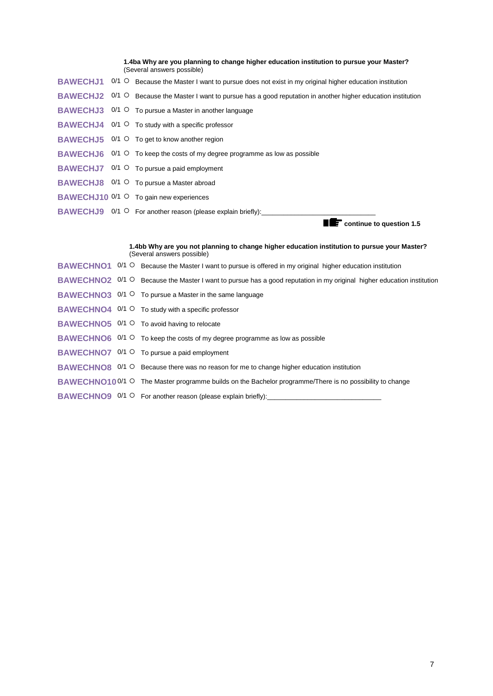|  | 1.4ba Why are you planning to change higher education institution to pursue your Master?<br>(Several answers possible)  |
|--|-------------------------------------------------------------------------------------------------------------------------|
|  | BAWECHJ1 0/1 O Because the Master I want to pursue does not exist in my original higher education institution           |
|  | <b>BAWECHJ2</b> 0/1 O Because the Master I want to pursue has a good reputation in another higher education institution |
|  | <b>BAWECHJ3</b> $0/1$ $\circ$ To pursue a Master in another language                                                    |
|  | <b>BAWECHJ4</b> $0/1$ O To study with a specific professor                                                              |
|  | BAWECHJ5 0/1 O To get to know another region                                                                            |
|  | BAWECHJ6 0/1 O To keep the costs of my degree programme as low as possible                                              |
|  | <b>BAWECHJ7</b> $0/1$ O To pursue a paid employment                                                                     |
|  | <b>BAWECHJ8</b> 0/1 O To pursue a Master abroad                                                                         |
|  | BAWECHJ10 0/1 ○ To gain new experiences                                                                                 |
|  | BAWECHJ9 0/1 O For another reason (please explain briefly):                                                             |
|  | $\mathbf F$ continue to question 1.5                                                                                    |

|  |  | 1.4bb Why are you not planning to change higher education institution to pursue your Master?<br>(Several answers possible)   |
|--|--|------------------------------------------------------------------------------------------------------------------------------|
|  |  | <b>BAWECHNO1</b> 0/1 O Because the Master I want to pursue is offered in my original higher education institution            |
|  |  | <b>BAWECHNO2</b> 0/1 O Because the Master I want to pursue has a good reputation in my original higher education institution |
|  |  | <b>BAWECHNO3</b> 0/1 O To pursue a Master in the same language                                                               |
|  |  | <b>BAWECHNO4</b> $0/1$ <sup>O</sup> To study with a specific professor                                                       |
|  |  | <b>BAWECHNO5</b> $0/1$ O To avoid having to relocate                                                                         |
|  |  | BAWECHNO6 0/1 O To keep the costs of my degree programme as low as possible                                                  |
|  |  | <b>BAWECHNO7</b> 0/1 O To pursue a paid employment                                                                           |
|  |  | BAWECHNO8 0/1 O Because there was no reason for me to change higher education institution                                    |
|  |  | <b>BAWECHNO100/1 O</b> The Master programme builds on the Bachelor programme/There is no possibility to change               |
|  |  | BAWECHNO9 0/1 O For another reason (please explain briefly): ____________________                                            |
|  |  |                                                                                                                              |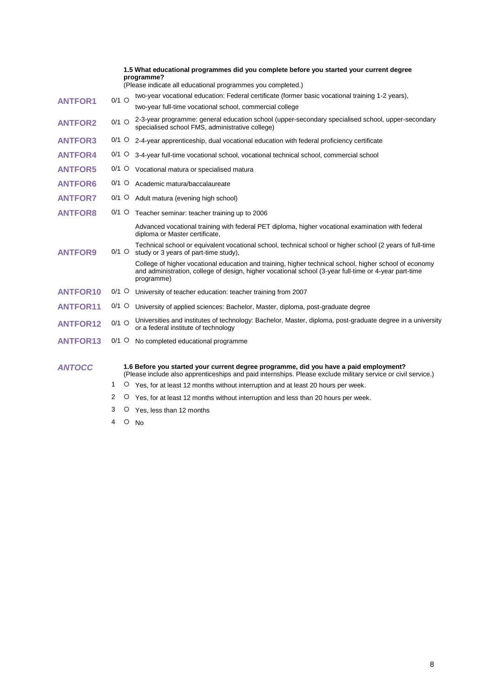|                 |               |         | 1.5 What educational programmes did you complete before you started your current degree<br>programme?<br>(Please indicate all educational programmes you completed.)                                                          |
|-----------------|---------------|---------|-------------------------------------------------------------------------------------------------------------------------------------------------------------------------------------------------------------------------------|
| <b>ANTFOR1</b>  | $0/1$ O       |         | two-year vocational education: Federal certificate (former basic vocational training 1-2 years),                                                                                                                              |
|                 |               |         | two-year full-time vocational school, commercial college                                                                                                                                                                      |
| <b>ANTFOR2</b>  | $0/1$ O       |         | 2-3-year programme: general education school (upper-secondary specialised school, upper-secondary<br>specialised school FMS, administrative college)                                                                          |
| <b>ANTFOR3</b>  |               |         | $0/1$ $\circ$ 2-4-year apprenticeship, dual vocational education with federal proficiency certificate                                                                                                                         |
| <b>ANTFOR4</b>  | $0/1$ O       |         | 3-4-year full-time vocational school, vocational technical school, commercial school                                                                                                                                          |
| <b>ANTFOR5</b>  | $0/1$ O       |         | Vocational matura or specialised matura                                                                                                                                                                                       |
| <b>ANTFOR6</b>  | 0/1           | $\circ$ | Academic matura/baccalaureate                                                                                                                                                                                                 |
| <b>ANTFOR7</b>  | 0/1           | $\circ$ | Adult matura (evening high school)                                                                                                                                                                                            |
| <b>ANTFOR8</b>  | $0/1$ O       |         | Teacher seminar: teacher training up to 2006                                                                                                                                                                                  |
|                 |               |         | Advanced vocational training with federal PET diploma, higher vocational examination with federal<br>diploma or Master certificate,                                                                                           |
| <b>ANTFOR9</b>  | $0/1$ $\circ$ |         | Technical school or equivalent vocational school, technical school or higher school (2 years of full-time<br>study or 3 years of part-time study),                                                                            |
|                 |               |         | College of higher vocational education and training, higher technical school, higher school of economy<br>and administration, college of design, higher vocational school (3-year full-time or 4-year part-time<br>programme) |
| <b>ANTFOR10</b> | $0/1$ O       |         | University of teacher education: teacher training from 2007                                                                                                                                                                   |
| <b>ANTFOR11</b> | $0/1$ O       |         | University of applied sciences: Bachelor, Master, diploma, post-graduate degree                                                                                                                                               |
| <b>ANTFOR12</b> | $0/1$ $\circ$ |         | Universities and institutes of technology: Bachelor, Master, diploma, post-graduate degree in a university<br>or a federal institute of technology                                                                            |
| <b>ANTFOR13</b> | 0/1 O         |         | No completed educational programme                                                                                                                                                                                            |
| <b>ANTOCC</b>   |               |         | 1.6 Before you started your current degree programme, did you have a paid employment?<br>(Please include also apprenticeships and paid internships. Please exclude military service or civil service.)                        |
|                 | 1             |         | O Yes, for at least 12 months without interruption and at least 20 hours per week.                                                                                                                                            |

- 2 O Yes, for at least 12 months without interruption and less than 20 hours per week.
- 3 O Yes, less than 12 months
- $4$  O No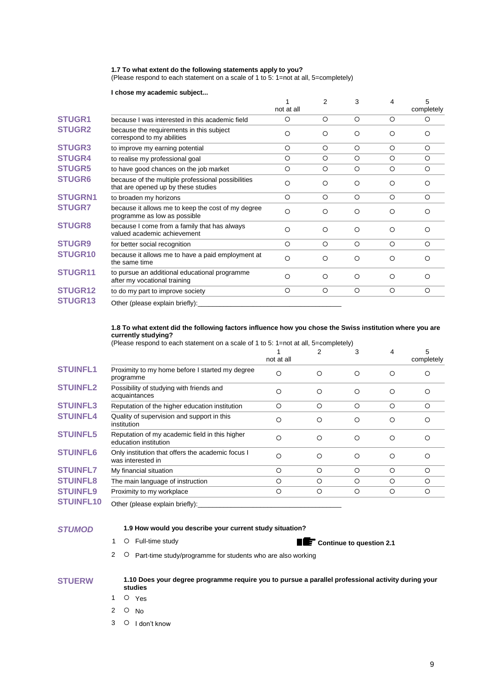#### **1.7 To what extent do the following statements apply to you?**

(Please respond to each statement on a scale of 1 to 5: 1=not at all, 5=completely)

#### **I chose my academic subject...**

|                |                                                                                           | not at all | 2       | 3       | 4       | 5<br>completely |
|----------------|-------------------------------------------------------------------------------------------|------------|---------|---------|---------|-----------------|
| <b>STUGR1</b>  | because I was interested in this academic field                                           | O          | O       | $\circ$ | $\circ$ | O               |
| <b>STUGR2</b>  | because the requirements in this subject<br>correspond to my abilities                    | O          | O       | $\circ$ | O       | $\circ$         |
| <b>STUGR3</b>  | to improve my earning potential                                                           | $\circ$    | $\circ$ | $\circ$ | $\circ$ | $\circ$         |
| <b>STUGR4</b>  | to realise my professional goal                                                           | O          | O       | $\circ$ | $\circ$ | O               |
| <b>STUGR5</b>  | to have good chances on the job market                                                    | O          | O       | $\circ$ | O       | O               |
| <b>STUGR6</b>  | because of the multiple professional possibilities<br>that are opened up by these studies | O          | O       | $\circ$ | $\circ$ | Ω               |
| <b>STUGRN1</b> | to broaden my horizons                                                                    | O          | O       | $\circ$ | $\circ$ | O               |
| <b>STUGR7</b>  | because it allows me to keep the cost of my degree<br>programme as low as possible        | $\Omega$   | O       | $\circ$ | $\circ$ | Ω               |
| <b>STUGR8</b>  | because I come from a family that has always<br>valued academic achievement               | $\circ$    | O       | $\circ$ | $\circ$ | $\Omega$        |
| <b>STUGR9</b>  | for better social recognition                                                             | $\circ$    | $\circ$ | $\circ$ | $\circ$ | $\circ$         |
| <b>STUGR10</b> | because it allows me to have a paid employment at<br>the same time                        | $\circ$    | O       | $\circ$ | O       | O               |
| STUGR11        | to pursue an additional educational programme<br>after my vocational training             | O          | O       | $\circ$ | O       | $\Omega$        |
| <b>STUGR12</b> | to do my part to improve society                                                          | $\circ$    | O       | $\circ$ | $\circ$ | O               |
| <b>STUGR13</b> | Other (please explain briefly):                                                           |            |         |         |         |                 |

#### **1.8 To what extent did the following factors influence how you chose the Swiss institution where you are currently studying?**

(Please respond to each statement on a scale of 1 to 5: 1=not at all, 5=completely)

|                  |                                                                         | not at all | 2        | 3       | 4        | 5<br>completely |
|------------------|-------------------------------------------------------------------------|------------|----------|---------|----------|-----------------|
| <b>STUINFL1</b>  | Proximity to my home before I started my degree<br>programme            | O          | ◯        | $\circ$ | $\circ$  | Ω               |
| <b>STUINFL2</b>  | Possibility of studying with friends and<br>acquaintances               | О          | $\circ$  | $\circ$ | $\circ$  | ∩               |
| <b>STUINFL3</b>  | Reputation of the higher education institution                          | O          | $\circ$  | $\circ$ | $\circ$  | $\circ$         |
| <b>STUINFL4</b>  | Quality of supervision and support in this<br>institution               | O          | $\circ$  | $\circ$ | $\circ$  | Ω               |
| <b>STUINFL5</b>  | Reputation of my academic field in this higher<br>education institution | О          | $\Omega$ | $\circ$ | $\Omega$ | ∩               |
| <b>STUINFL6</b>  | Only institution that offers the academic focus I<br>was interested in  | Ω          | $\circ$  | $\circ$ | $\circ$  | Ω               |
| <b>STUINFL7</b>  | My financial situation                                                  | O          | $\circ$  | $\circ$ | $\circ$  | O               |
| <b>STUINFL8</b>  | The main language of instruction                                        | O          | $\circ$  | $\circ$ | $\circ$  | $\circ$         |
| <b>STUINFL9</b>  | Proximity to my workplace                                               | $\circ$    | O        | $\circ$ | $\circ$  | $\circ$         |
| <b>STUINFL10</b> | Other (please explain briefly):                                         |            |          |         |          |                 |

# *STUMOD* **1.9 How would you describe your current study situation?**

1 O Full-time study **Continue to question 2.1** 

2 O Part-time study/programme for students who are also working

| <b>STUERW</b> | 1.10 Does your degree programme require you to pursue a parallel professional activity during your<br>studies |
|---------------|---------------------------------------------------------------------------------------------------------------|
|               |                                                                                                               |

- 1 O Yes
- 2  $\circ$  No
- 3 O I don't know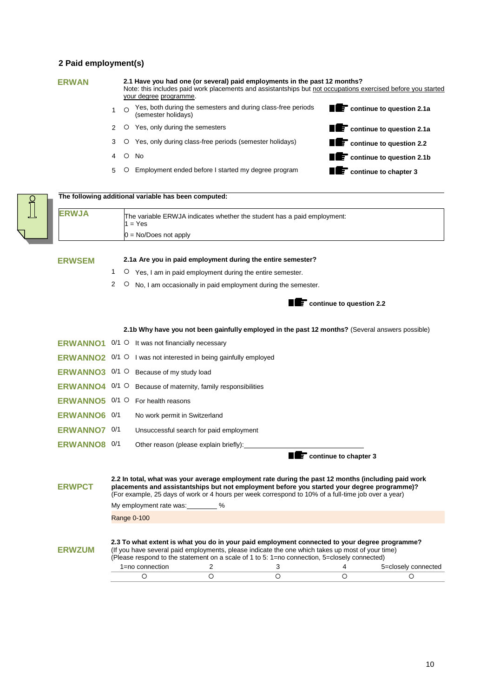# **2 Paid employment(s)**

| z Palu employment(s) |                |         |                                                                                                                                                                                                                     |                                          |
|----------------------|----------------|---------|---------------------------------------------------------------------------------------------------------------------------------------------------------------------------------------------------------------------|------------------------------------------|
| <b>ERWAN</b>         |                |         | 2.1 Have you had one (or several) paid employments in the past 12 months?<br>Note: this includes paid work placements and assistantships but not occupations exercised before you started<br>your degree programme. |                                          |
|                      | $\mathbf{1}$   |         | Yes, both during the semesters and during class-free periods<br>(semester holidavs)                                                                                                                                 | $\blacksquare$ continue to question 2.1a |
|                      | 2              |         | O Yes, only during the semesters                                                                                                                                                                                    | $\blacksquare$ continue to question 2.1a |
|                      | 3              |         | O Yes, only during class-free periods (semester holidays)                                                                                                                                                           | <b>THE</b> continue to question 2.2      |
|                      | 4              |         | $O$ No                                                                                                                                                                                                              | $\mathbf{F}$ continue to question 2.1b   |
|                      | 5              |         | O Employment ended before I started my degree program                                                                                                                                                               | $\mathbf{F}$ continue to chapter 3<br>П  |
|                      |                |         | The following additional variable has been computed:                                                                                                                                                                |                                          |
| <b>ERWJA</b>         |                |         | The variable ERWJA indicates whether the student has a paid employment:<br>$1 = Yes$                                                                                                                                |                                          |
|                      |                |         | $0 = No/Does not apply$                                                                                                                                                                                             |                                          |
|                      |                |         |                                                                                                                                                                                                                     |                                          |
| <b>ERWSEM</b>        |                |         | 2.1a Are you in paid employment during the entire semester?                                                                                                                                                         |                                          |
|                      | $\mathbf{1}$   |         | $\circ$ Yes, I am in paid employment during the entire semester.                                                                                                                                                    |                                          |
|                      | $\overline{2}$ | $\circ$ | No, I am occasionally in paid employment during the semester.                                                                                                                                                       |                                          |
|                      |                |         |                                                                                                                                                                                                                     | <b>THE CONTINUE TO A GUESTION 2.2</b>    |
|                      |                |         | 2.1b Why have you not been gainfully employed in the past 12 months? (Several answers possible)                                                                                                                     |                                          |
|                      |                |         | <b>ERWANNO1</b> $0/1$ O It was not financially necessary                                                                                                                                                            |                                          |
|                      |                |         | ERWANNO2 0/1 O I was not interested in being gainfully employed                                                                                                                                                     |                                          |
|                      |                |         | <b>ERWANNO3</b> $0/1$ O Because of my study load                                                                                                                                                                    |                                          |
|                      |                |         | ERWANNO4 0/1 O Because of maternity, family responsibilities                                                                                                                                                        |                                          |
| ERWANNO5 0/1 O       |                |         | For health reasons                                                                                                                                                                                                  |                                          |
| <b>ERWANNO6 0/1</b>  |                |         | No work permit in Switzerland                                                                                                                                                                                       |                                          |
| ERWANNO7 0/1         |                |         | Unsuccessful search for paid employment                                                                                                                                                                             |                                          |

**ERWANNO8** <sup>0/1</sup> Other reason (please explain briefly):

**continue to chapter 3** 

| <b>ERWPCT</b> | 2.2 In total, what was your average employment rate during the past 12 months (including paid work<br>placements and assistantships but not employment before you started your degree programme)?<br>(For example, 25 days of work or 4 hours per week correspond to 10% of a full-time job over a year) |   |   |                     |
|---------------|----------------------------------------------------------------------------------------------------------------------------------------------------------------------------------------------------------------------------------------------------------------------------------------------------------|---|---|---------------------|
|               | My employment rate was:                                                                                                                                                                                                                                                                                  | % |   |                     |
|               | Range 0-100                                                                                                                                                                                                                                                                                              |   |   |                     |
| <b>ERWZUM</b> | 2.3 To what extent is what you do in your paid employment connected to your degree programme?<br>(If you have several paid employments, please indicate the one which takes up most of your time)<br>(Please respond to the statement on a scale of 1 to 5: 1=no connection, 5=closely connected)        |   |   |                     |
|               | $1 = no$ connection                                                                                                                                                                                                                                                                                      |   |   | 5=closely connected |
|               | С                                                                                                                                                                                                                                                                                                        |   | С |                     |
|               |                                                                                                                                                                                                                                                                                                          |   |   |                     |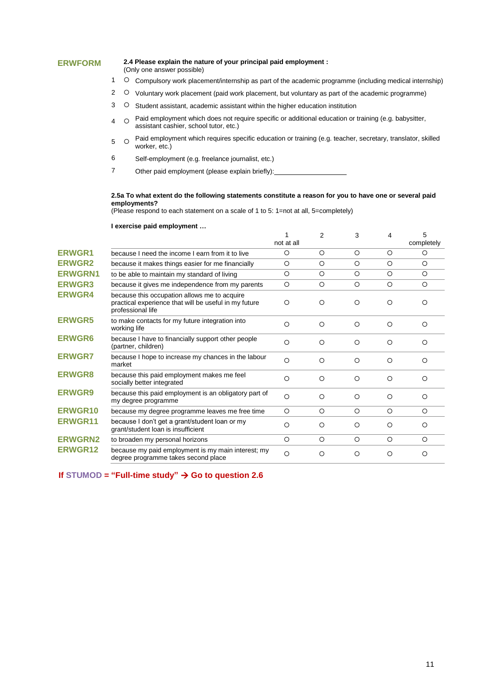#### **ERWFORM 2.4 Please explain the nature of your principal paid employment :**

- (Only one answer possible)
- 1 C compulsory work placement/internship as part of the academic programme (including medical internship)
- 2 O Voluntary work placement (paid work placement, but voluntary as part of the academic programme)
- 3 O Student assistant, academic assistant within the higher education institution
- 4 O Paid employment which does not require specific or additional education or training (e.g. babysitter, assistant cashier, school tutor, etc.)
- 5 Paid employment which requires specific education or training (e.g. teacher, secretary, translator, skilled worker, etc.)
- 6 Self-employment (e.g. freelance journalist, etc.)
- 7 Other paid employment (please explain briefly):

#### **2.5a To what extent do the following statements constitute a reason for you to have one or several paid employments?**

(Please respond to each statement on a scale of 1 to 5: 1=not at all, 5=completely)

#### **I exercise paid employment …**

|                |                                                                                                                            | not at all | 2       | 3        | 4       | 5<br>completely |
|----------------|----------------------------------------------------------------------------------------------------------------------------|------------|---------|----------|---------|-----------------|
| <b>ERWGR1</b>  | because I need the income I earn from it to live                                                                           | $\circ$    | $\circ$ | $\circ$  | O       | $\circ$         |
| <b>ERWGR2</b>  | because it makes things easier for me financially                                                                          | $\circ$    | $\circ$ | $\circ$  | $\circ$ | $\circ$         |
| <b>ERWGRN1</b> | to be able to maintain my standard of living                                                                               | O          | $\circ$ | $\circ$  | $\circ$ | $\circ$         |
| <b>ERWGR3</b>  | because it gives me independence from my parents                                                                           | $\circ$    | $\circ$ | $\circ$  | $\circ$ | $\circ$         |
| <b>ERWGR4</b>  | because this occupation allows me to acquire<br>practical experience that will be useful in my future<br>professional life | $\circ$    | $\circ$ | $\circ$  | $\circ$ | $\Omega$        |
| <b>ERWGR5</b>  | to make contacts for my future integration into<br>working life                                                            | $\circ$    | $\circ$ | $\circ$  | $\circ$ | O               |
| <b>ERWGR6</b>  | because I have to financially support other people<br>(partner, children)                                                  | $\circ$    | $\circ$ | $\circ$  | $\circ$ | $\circ$         |
| <b>ERWGR7</b>  | because I hope to increase my chances in the labour<br>market                                                              | $\circ$    | $\circ$ | O        | $\circ$ | ∩               |
| <b>ERWGR8</b>  | because this paid employment makes me feel<br>socially better integrated                                                   | $\circ$    | $\circ$ | $\circ$  | $\circ$ | $\circ$         |
| <b>ERWGR9</b>  | because this paid employment is an obligatory part of<br>my degree programme                                               | $\Omega$   | ◯       | $\Omega$ | $\circ$ | ∩               |
| <b>ERWGR10</b> | because my degree programme leaves me free time                                                                            | $\circ$    | $\circ$ | $\circ$  | $\circ$ | $\circ$         |
| <b>ERWGR11</b> | because I don't get a grant/student loan or my<br>grant/student loan is insufficient                                       | $\circ$    | $\circ$ | $\circ$  | $\circ$ | $\Omega$        |
| <b>ERWGRN2</b> | to broaden my personal horizons                                                                                            | $\circ$    | $\circ$ | $\circ$  | $\circ$ | $\circ$         |
| <b>ERWGR12</b> | because my paid employment is my main interest; my<br>degree programme takes second place                                  | $\circ$    | $\circ$ | O        | $\circ$ | O               |

**If STUMOD** = "Full-time study"  $\rightarrow$  Go to question 2.6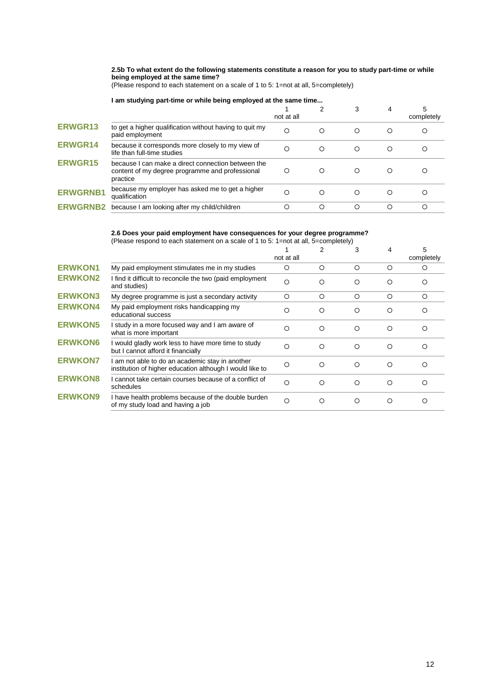**2.5b To what extent do the following statements constitute a reason for you to study part-time or while being employed at the same time?**

(Please respond to each statement on a scale of 1 to 5: 1=not at all, 5=completely)

## **I am studying part-time or while being employed at the same time...**

|                 |                                                                                                                   | not at all |   |          | 4 | 5<br>completely |
|-----------------|-------------------------------------------------------------------------------------------------------------------|------------|---|----------|---|-----------------|
| <b>ERWGR13</b>  | to get a higher qualification without having to quit my<br>paid employment                                        | Ω          | O | ◯        | Ω |                 |
| <b>ERWGR14</b>  | because it corresponds more closely to my view of<br>life than full-time studies                                  | O          | O | ◯        | О |                 |
| <b>ERWGR15</b>  | because I can make a direct connection between the<br>content of my degree programme and professional<br>practice | O          | O | O        | Ω |                 |
| <b>ERWGRNB1</b> | because my employer has asked me to get a higher<br>qualification                                                 | O          | O | $\Omega$ | Ω |                 |
| <b>FRWGRNB</b>  | because I am looking after my child/children                                                                      | О          | O | ◯        | Ω |                 |

#### **2.6 Does your paid employment have consequences for your degree programme?**

(Please respond to each statement on a scale of 1 to 5: 1=not at all, 5=completely)

|                |                                                                                                             | not at all | 2 | 3        | 4        | 5<br>completely |
|----------------|-------------------------------------------------------------------------------------------------------------|------------|---|----------|----------|-----------------|
| <b>ERWKON1</b> | My paid employment stimulates me in my studies                                                              | O          | O | $\Omega$ | O        | Ω               |
| <b>ERWKON2</b> | I find it difficult to reconcile the two (paid employment<br>and studies)                                   | $\Omega$   | Ω | $\Omega$ | Ω        | ∩               |
| <b>ERWKON3</b> | My degree programme is just a secondary activity                                                            | $\circ$    | ◯ | $\circ$  | $\Omega$ | ◯               |
| <b>ERWKON4</b> | My paid employment risks handicapping my<br>educational success                                             | Ω          | O | ◯        | ∩        |                 |
| <b>ERWKON5</b> | I study in a more focused way and I am aware of<br>what is more important                                   | O          | Ω | $\Omega$ | Ω        | ∩               |
| <b>ERWKON6</b> | I would gladly work less to have more time to study<br>but I cannot afford it financially                   | O          | O | ◯        | O        |                 |
| <b>ERWKON7</b> | I am not able to do an academic stay in another<br>institution of higher education although I would like to | $\circ$    | Ω | ∩        | Ω        | ∩               |
| <b>ERWKON8</b> | I cannot take certain courses because of a conflict of<br>schedules                                         | Ω          | O | $\Omega$ | Ω        | ∩               |
| <b>ERWKON9</b> | I have health problems because of the double burden<br>of my study load and having a job                    | $\Omega$   | O | ◯        | Ω        |                 |
|                |                                                                                                             |            |   |          |          |                 |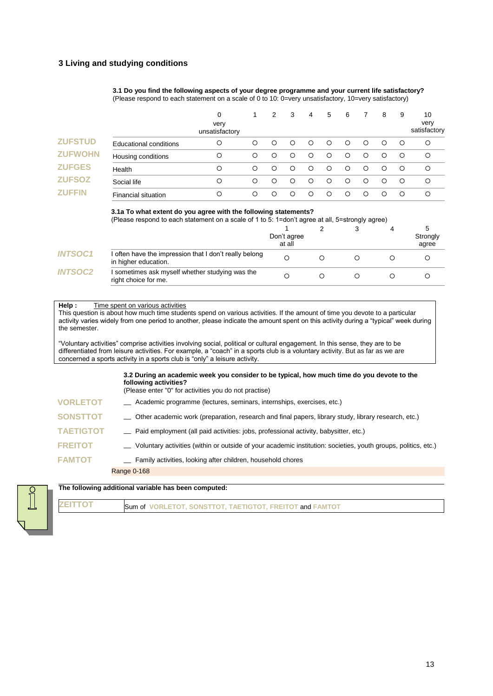# **3 Living and studying conditions**

**3.1 Do you find the following aspects of your degree programme and your current life satisfactory?** (Please respond to each statement on a scale of 0 to 10: 0=very unsatisfactory, 10=very satisfactory)

|                |                            | 0<br>very<br>unsatisfactory |         | 2       | 3 | 4       | 5       | 6       |   | 8 | 9       | 10<br>very<br>satisfactory |
|----------------|----------------------------|-----------------------------|---------|---------|---|---------|---------|---------|---|---|---------|----------------------------|
| <b>ZUFSTUD</b> | Educational conditions     | O                           | $\circ$ | O       | ◯ | ◯       | $\circ$ | $\circ$ | O | ∩ | $\circ$ | $\circ$                    |
| <b>ZUFWOHN</b> | Housing conditions         | О                           | $\circ$ | O       | ◯ | $\circ$ | $\circ$ | $\circ$ | ∩ |   | $\circ$ | $\circ$                    |
| <b>ZUFGES</b>  | Health                     | O                           | $\circ$ | ∩       | ∩ | ◯       | ∩       | ◯       | ∩ | ∩ | ◯       | $\circ$                    |
| <b>ZUFSOZ</b>  | Social life                | O                           | $\circ$ | $\circ$ | ◯ | ◯       | ◯       | $\circ$ | ∩ | ∩ | ◯       | $\circ$                    |
| <b>ZUFFIN</b>  | <b>Financial situation</b> | О                           | ◯       | Ω       |   | O       | $\circ$ | $\circ$ |   |   | $\circ$ | $\circ$                    |

#### **3.1a To what extent do you agree with the following statements?**

(Please respond to each statement on a scale of 1 to 5: 1=don't agree at all, 5=strongly agree)

|                |                                                                                | Don't agree<br>at all |  | Strongly<br>agree |
|----------------|--------------------------------------------------------------------------------|-----------------------|--|-------------------|
| <b>INTSOC1</b> | I often have the impression that I don't really belong<br>in higher education. | Ω                     |  |                   |
| <b>INTSOC2</b> | I sometimes ask myself whether studying was the<br>right choice for me.        |                       |  |                   |

#### **Help :** Time spent on various activities

This question is about how much time students spend on various activities. If the amount of time you devote to a particular activity varies widely from one period to another, please indicate the amount spent on this activity during a "typical" week during the semester.

"Voluntary activities" comprise activities involving social, political or cultural engagement. In this sense, they are to be differentiated from leisure activities. For example, a "coach" in a sports club is a voluntary activity. But as far as we are concerned a sports activity in a sports club is "only" a leisure activity.

#### **3.2 During an academic week you consider to be typical, how much time do you devote to the following activities?**

(Please enter "0" for activities you do not practise)

- **VORLETOT** \_\_ Academic programme (lectures, seminars, internships, exercises, etc.)
- **SONSTTOT** \_\_ Other academic work (preparation, research and final papers, library study, library research, etc.)
- **TAETIGTOT** \_\_ Paid employment (all paid activities: jobs, professional activity, babysitter, etc.)
- **FREITOT** \_\_ Voluntary activities (within or outside of your academic institution: societies, youth groups, politics, etc.)
- **FAMTOT**  $\qquad \qquad \_$  Family activities, looking after children, household chores

Range 0-168

**The following additional variable has been computed:**



**ZEITTOT** Sum of **VORLETOT, SONSTTOT, TAETIGTOT, FREITOT** and **FAMTOT**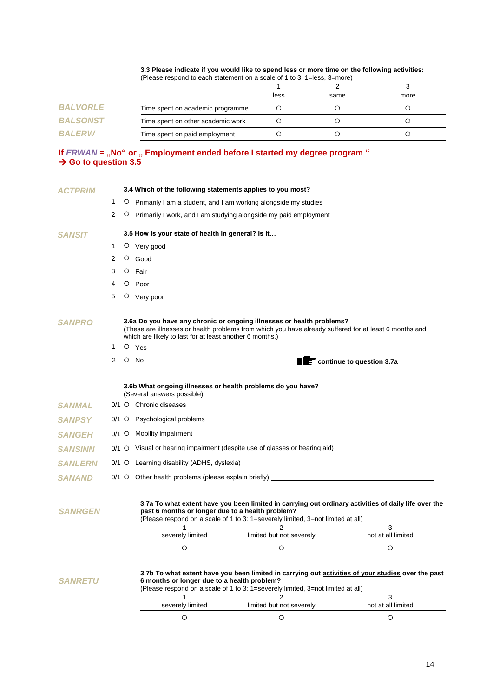### **3.3 Please indicate if you would like to spend less or more time on the following activities:**

|                 | (Please respond to each statement on a scale of 1 to 3: 1=less, 3=more) |      |      |      |
|-----------------|-------------------------------------------------------------------------|------|------|------|
|                 |                                                                         |      |      |      |
|                 |                                                                         | less | same | more |
| <b>BALVORLE</b> | Time spent on academic programme                                        |      |      |      |
| <b>BALSONST</b> | Time spent on other academic work                                       |      |      |      |
| <b>BALERW</b>   | Time spent on paid employment                                           |      |      |      |

# **If** *ERWAN* **= "No" or " Employment ended before I started my degree program " Go to question 3.5**

| <b>ACTPRIM</b>        |         |   | 3.4 Which of the following statements applies to you most?                                |                                                                                                                                                                                            |                                     |
|-----------------------|---------|---|-------------------------------------------------------------------------------------------|--------------------------------------------------------------------------------------------------------------------------------------------------------------------------------------------|-------------------------------------|
|                       | 1       |   |                                                                                           | $\circ$ Primarily I am a student, and I am working alongside my studies                                                                                                                    |                                     |
|                       | 2       | O |                                                                                           | Primarily I work, and I am studying alongside my paid employment                                                                                                                           |                                     |
| SANSIT                |         |   | 3.5 How is your state of health in general? Is it                                         |                                                                                                                                                                                            |                                     |
|                       | 1       |   | O Very good                                                                               |                                                                                                                                                                                            |                                     |
|                       | 2       | O | Good                                                                                      |                                                                                                                                                                                            |                                     |
|                       | 3       |   | $O$ Fair                                                                                  |                                                                                                                                                                                            |                                     |
|                       | 4       |   | $O$ Poor                                                                                  |                                                                                                                                                                                            |                                     |
|                       | 5       |   | O Very poor                                                                               |                                                                                                                                                                                            |                                     |
| <i><b>SANPRO</b></i>  |         |   | which are likely to last for at least another 6 months.)                                  | 3.6a Do you have any chronic or ongoing illnesses or health problems?<br>(These are illnesses or health problems from which you have already suffered for at least 6 months and            |                                     |
|                       | 1       |   | O Yes                                                                                     |                                                                                                                                                                                            |                                     |
|                       | 2       |   | $O$ No                                                                                    |                                                                                                                                                                                            | <b>TE</b> continue to question 3.7a |
|                       |         |   | 3.6b What ongoing illnesses or health problems do you have?<br>(Several answers possible) |                                                                                                                                                                                            |                                     |
| <b>SANMAL</b>         |         |   | 0/1 O Chronic diseases                                                                    |                                                                                                                                                                                            |                                     |
| SANPSY                |         |   | 0/1 O Psychological problems                                                              |                                                                                                                                                                                            |                                     |
| <b>SANGEH</b>         | $0/1$ O |   | Mobility impairment                                                                       |                                                                                                                                                                                            |                                     |
| <i><b>SANSINN</b></i> | $0/1$ O |   |                                                                                           | Visual or hearing impairment (despite use of glasses or hearing aid)                                                                                                                       |                                     |
| <i><b>SANLERN</b></i> |         |   | 0/1 O Learning disability (ADHS, dyslexia)                                                |                                                                                                                                                                                            |                                     |
| <b>SANAND</b>         |         |   |                                                                                           | 0/1 O Other health problems (please explain briefly): __________________________                                                                                                           |                                     |
| <b>SANRGEN</b>        |         |   | past 6 months or longer due to a health problem?                                          | 3.7a To what extent have you been limited in carrying out ordinary activities of daily life over the<br>(Please respond on a scale of 1 to 3: 1=severely limited, 3=not limited at all)    |                                     |
|                       |         |   | 1<br>severely limited                                                                     | 2<br>limited but not severely                                                                                                                                                              | 3<br>not at all limited             |
|                       |         |   | O                                                                                         | O                                                                                                                                                                                          | O                                   |
| <i><b>SANRETU</b></i> |         |   | 6 months or longer due to a health problem?<br>1                                          | 3.7b To what extent have you been limited in carrying out activities of your studies over the past<br>(Please respond on a scale of 1 to 3: 1=severely limited, 3=not limited at all)<br>2 | 3                                   |
|                       |         |   | severely limited                                                                          | limited but not severely                                                                                                                                                                   | not at all limited                  |
|                       |         |   | O                                                                                         | O                                                                                                                                                                                          | O                                   |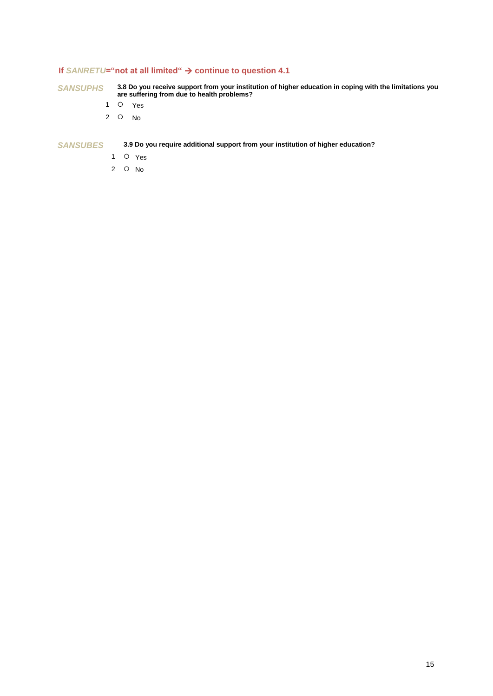# **If** *SANRETU***="not at all limited" continue to question 4.1**

*SANSUPHS* **3.8 Do you receive support from your institution of higher education in coping with the limitations you are suffering from due to health problems?**

- 1 O Yes
- 2 No

*SANSUBES* **3.9 Do you require additional support from your institution of higher education?**

- 1 O Yes
- 2 No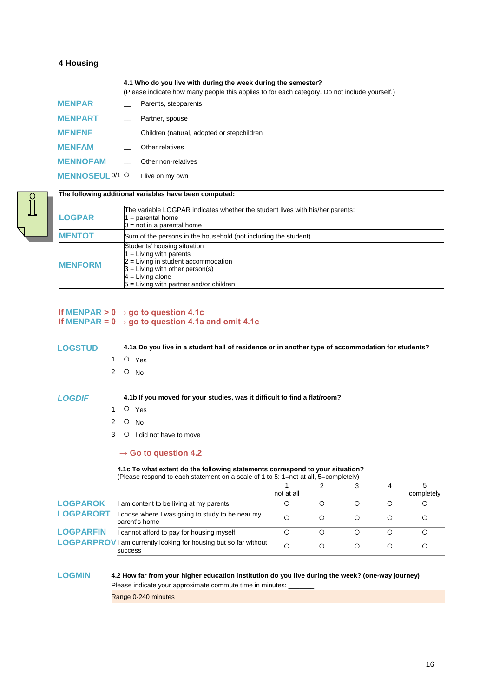# **4 Housing**

**4.1 Who do you live with during the week during the semester?**

The variable LOGPAR indicates whether the student lives with his/her parents:

(Please indicate how many people this applies to for each category. Do not include yourself.)

| <b>MENPAR</b>          |                          | Parents, stepparents                       |
|------------------------|--------------------------|--------------------------------------------|
| <b>MENPART</b>         | $\overline{\phantom{a}}$ | Partner, spouse                            |
| <b>MENENF</b>          |                          | Children (natural, adopted or stepchildren |
| <b>MENFAM</b>          |                          | Other relatives                            |
| <b>MENNOFAM</b>        |                          | Other non-relatives                        |
| <b>MENNOSEUL 0/1 O</b> |                          | I live on my own                           |



# **The following additional variables have been computed:**

 $1 =$  parental home  $0 =$  not in a parental home

| <b>MENTOT</b>  | Sum of the persons in the household (not including the student) |
|----------------|-----------------------------------------------------------------|
|                | Students' housing situation                                     |
|                | $1 =$ Living with parents                                       |
| <b>MENFORM</b> | $2$ = Living in student accommodation                           |
|                | $3 =$ Living with other person(s)                               |
|                | $4 = Living alone$                                              |

5 = Living with partner and/or children

# **If MENPAR > 0 → go to question 4.1c If MENPAR**  $= 0 \rightarrow$  **go to question 4.1a and omit 4.1c**

**LOGSTUD 4.1a Do you live in a student hall of residence or in another type of accommodation for students?**

**LOGPAR**

1 O Yes

2  $\circ$  No

*LOGDIF* **4.1b If you moved for your studies, was it difficult to find a flat/room?**

- 1 O Yes
- 2  $\circ$  No
- 3 O I did not have to move

### **→ Go to question 4.2**

#### **4.1c To what extent do the following statements correspond to your situation?** (Please respond to each statement on a scale of 1 to 5: 1=not at all, 5=completely)

|                  |                                                                                           | not at all | 3 | 4 | 5<br>completely |
|------------------|-------------------------------------------------------------------------------------------|------------|---|---|-----------------|
| <b>LOGPAROK</b>  | am content to be living at my parents'                                                    | О          | Ω | ◯ |                 |
| <b>LOGPARORT</b> | chose where I was going to study to be near my<br>parent's home                           | О          |   |   |                 |
| <b>LOGPARFIN</b> | cannot afford to pay for housing myself                                                   | O          |   |   |                 |
|                  | <b>LOGPARPROV</b> I am currently looking for housing but so far without<br><b>SUCCESS</b> | О          |   |   |                 |

# **LOGMIN 4.2 How far from your higher education institution do you live during the week? (one-way journey)**

Please indicate your approximate commute time in minutes:

Range 0-240 minutes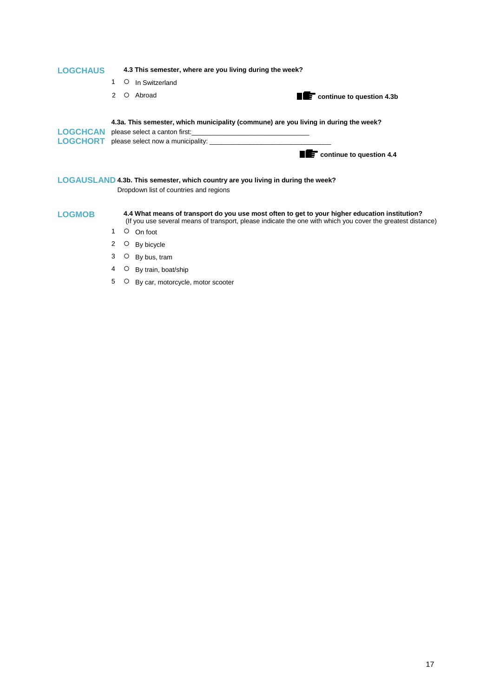| <b>LOGCHAUS</b> |             | 4.3 This semester, where are you living during the week?                                                                                                                                                                       |                                      |
|-----------------|-------------|--------------------------------------------------------------------------------------------------------------------------------------------------------------------------------------------------------------------------------|--------------------------------------|
|                 | $\circ$     | In Switzerland                                                                                                                                                                                                                 |                                      |
|                 | $2^{\circ}$ | Abroad                                                                                                                                                                                                                         | <b>THE</b> continue to question 4.3b |
|                 |             |                                                                                                                                                                                                                                |                                      |
|                 |             | 4.3a. This semester, which municipality (commune) are you living in during the week?                                                                                                                                           |                                      |
|                 |             | LOGCHCAN please select a canton first: the control of the control of the control of the control of the control of the control of the control of the control of the control of the control of the control of the control of the |                                      |
|                 |             |                                                                                                                                                                                                                                |                                      |
|                 |             |                                                                                                                                                                                                                                | <b>E</b> continue to question 4.4    |

**LOGAUSLAND 4.3b. This semester, which country are you living in during the week?** Dropdown list of countries and regions

**LOGMOB 4.4 What means of transport do you use most often to get to your higher education institution?** (If you use several means of transport, please indicate the one with which you cover the greatest distance)

- 1 O On foot
- 2 O By bicycle
- 3 O By bus, tram
- 4 O By train, boat/ship
- 5 O By car, motorcycle, motor scooter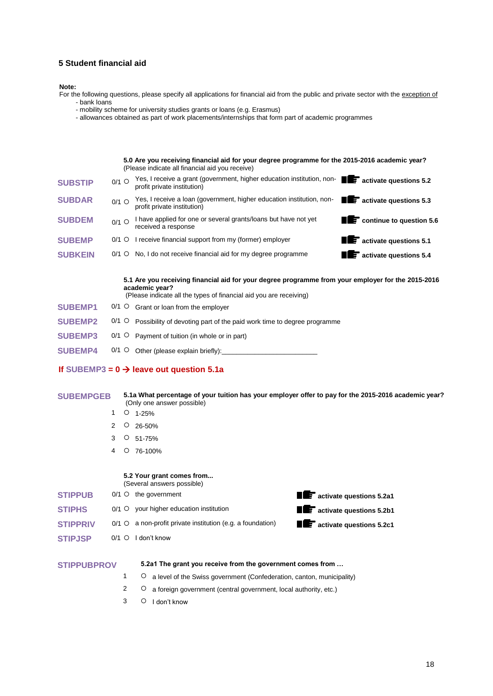### **5 Student financial aid**

#### **Note:**

- For the following questions, please specify all applications for financial aid from the public and private sector with the exception of - bank loans
	- mobility scheme for university studies grants or loans (e.g. Erasmus)
	- allowances obtained as part of work placements/internships that form part of academic programmes

**5.0 Are you receiving financial aid for your degree programme for the 2015-2016 academic year?** (Please indicate all financial aid you receive) **SUBSTIP** 0/1 O Yes, I receive a grant (government, higher education institution, non-<br> **SUBSTIP** 0/1 O profit private institution) profit private institution) **SUBDAR**  $0/1$   $\Omega$ Yes, I receive a loan (government, higher education institution, nonprofit private institution) **activate questions 5.3 SUBDEM**  $0/1$  O I have applied for one or several grants/loans but have not vet received a response **continue to question 5.6 SUBEMP** 0/1  $\circ$  I receive financial support from my (former) employer **activate questions 5.1 SUBKEIN** 0/1  $\circ$  No, I do not receive financial aid for my degree programme **and the activate questions 5.4 5.1 Are you receiving financial aid for your degree programme from your employer for the 2015-2016 academic year?** (Please indicate all the types of financial aid you are receiving) **SUBEMP1** 0/1  $\circ$  Grant or loan from the employer **SUBEMP2** 0/1  $\circ$  Possibility of devoting part of the paid work time to degree programme **SUBEMP3** 0/1  $\circ$  Payment of tuition (in whole or in part) **SUBEMP4** 0/1  $\circ$  Other (please explain briefly): **If** SUBEMP3 =  $0 \rightarrow$  leave out question 5.1a

**SUBEMPGEB 5.1a What percentage of your tuition has your employer offer to pay for the 2015-2016 academic year?**  (Only one answer possible)

- $1 \circ 1-25\%$
- 2 26-50%
- $3$  O  $51-75%$
- 4 76-100%

# **5.2 Your grant comes from...**

- (Several answers possible) **STIPPUB** 0/1 0 the government **activate of the government activate questions 5.2a1**
- **STIPHS** 0/1 0 your higher education institution **and the state of activate questions 5.2b1 STIPPRIV** 0/1 0 a non-profit private institution (e.g. a foundation) **and the activate questions 5.2c1 STIPJSP** 0/1 0 I don't know
- **STIPPUBPROV 5.2a1 The grant you receive from the government comes from …** 1 **O** a level of the Swiss government (Confederation, canton, municipality)  $2 \nO$  a foreign government (central government, local authority, etc.)
	- 3 O I don't know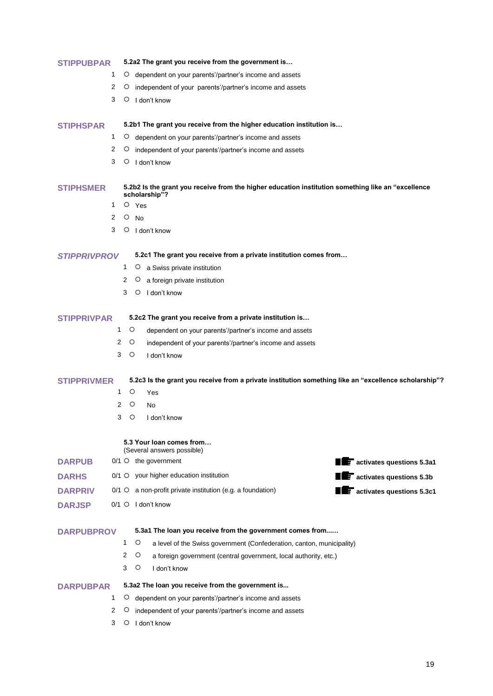| <b>STIPPUBPAR</b>   |         |         | 5.2a2 The grant you receive from the government is                                                                   |                                         |
|---------------------|---------|---------|----------------------------------------------------------------------------------------------------------------------|-----------------------------------------|
|                     | 1       |         | O dependent on your parents'/partner's income and assets                                                             |                                         |
|                     | 2       | O       | independent of your parents'/partner's income and assets                                                             |                                         |
|                     | 3       |         | $\circ$ I don't know                                                                                                 |                                         |
| <b>STIPHSPAR</b>    |         |         | 5.2b1 The grant you receive from the higher education institution is                                                 |                                         |
|                     | 1       |         | O dependent on your parents'/partner's income and assets                                                             |                                         |
|                     | 2       | $\circ$ | independent of your parents'/partner's income and assets                                                             |                                         |
|                     | 3       | O       | I don't know                                                                                                         |                                         |
| <b>STIPHSMER</b>    |         |         | 5.2b2 Is the grant you receive from the higher education institution something like an "excellence"<br>scholarship"? |                                         |
|                     | 1       |         | $O$ Yes                                                                                                              |                                         |
|                     | 2       | $\circ$ | No                                                                                                                   |                                         |
|                     | 3       |         | $\circ$ I don't know                                                                                                 |                                         |
| <b>STIPPRIVPROV</b> |         |         | 5.2c1 The grant you receive from a private institution comes from                                                    |                                         |
|                     |         | 1       | O a Swiss private institution                                                                                        |                                         |
|                     |         | 2       | $\circ$<br>a foreign private institution                                                                             |                                         |
|                     |         | 3       | O<br>I don't know                                                                                                    |                                         |
| <b>STIPPRIVPAR</b>  |         |         | 5.2c2 The grant you receive from a private institution is                                                            |                                         |
|                     | 1       | O       | dependent on your parents'/partner's income and assets                                                               |                                         |
|                     | 2       | O       | independent of your parents'/partner's income and assets                                                             |                                         |
|                     | 3       | O       | I don't know                                                                                                         |                                         |
| <b>STIPPRIVMER</b>  |         |         | 5.2c3 Is the grant you receive from a private institution something like an "excellence scholarship"?                |                                         |
|                     | 1       | O       | Yes                                                                                                                  |                                         |
|                     | 2       | O       | No                                                                                                                   |                                         |
|                     | 3       | O       | I don't know                                                                                                         |                                         |
|                     |         |         | 5.3 Your loan comes from<br>(Several answers possible)                                                               |                                         |
| <b>DARPUB</b>       |         |         | $0/1$ $\circ$ the government                                                                                         | <b>THE activates questions 5.3a1</b>    |
| <b>DARHS</b>        | $0/1$ O |         | your higher education institution                                                                                    | $\blacksquare$ activates questions 5.3b |
| <b>DARPRIV</b>      | $0/1$ O |         | a non-profit private institution (e.g. a foundation)                                                                 | $\mathbf{F}$ activates questions 5.3c1  |
| <b>DARJSP</b>       | $0/1$ O |         | I don't know                                                                                                         |                                         |
| <b>DARPUBPROV</b>   |         |         | 5.3a1 The loan you receive from the government comes from                                                            |                                         |
|                     |         | 1       | O<br>a level of the Swiss government (Confederation, canton, municipality)                                           |                                         |
|                     |         | 2       | O<br>a foreign government (central government, local authority, etc.)                                                |                                         |
|                     |         | 3       | O<br>I don't know                                                                                                    |                                         |
| <b>DARPUBPAR</b>    |         |         | 5.3a2 The loan you receive from the government is                                                                    |                                         |
|                     | 1       | $\circ$ | dependent on your parents'/partner's income and assets                                                               |                                         |
|                     | 2       | O       | independent of your parents'/partner's income and assets                                                             |                                         |
|                     | 3       | O       | I don't know                                                                                                         |                                         |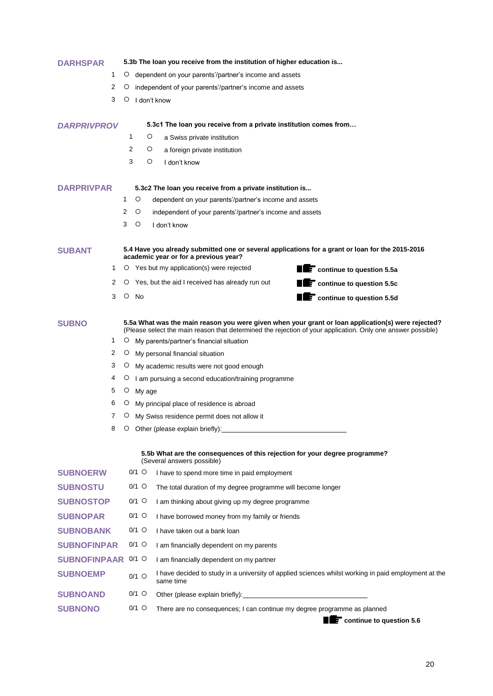| DARHSPAR            |                    |         | 5.3b The loan you receive from the institution of higher education is                                                                                                                                             |
|---------------------|--------------------|---------|-------------------------------------------------------------------------------------------------------------------------------------------------------------------------------------------------------------------|
| 1                   | $\circ$            |         | dependent on your parents'/partner's income and assets                                                                                                                                                            |
| 2                   | O                  |         | independent of your parents'/partner's income and assets                                                                                                                                                          |
| 3                   | $\circ$            |         | I don't know                                                                                                                                                                                                      |
| <b>DARPRIVPROV</b>  |                    |         | 5.3c1 The loan you receive from a private institution comes from                                                                                                                                                  |
|                     |                    | 1       | O<br>a Swiss private institution                                                                                                                                                                                  |
|                     |                    | 2       | O<br>a foreign private institution                                                                                                                                                                                |
|                     |                    | 3       | O<br>I don't know                                                                                                                                                                                                 |
| <b>DARPRIVPAR</b>   |                    |         | 5.3c2 The loan you receive from a private institution is                                                                                                                                                          |
|                     | 1                  | O       | dependent on your parents'/partner's income and assets                                                                                                                                                            |
|                     | 2                  | O       | independent of your parents'/partner's income and assets                                                                                                                                                          |
|                     | 3                  | O       | I don't know                                                                                                                                                                                                      |
| <b>SUBANT</b>       |                    |         | 5.4 Have you already submitted one or several applications for a grant or loan for the 2015-2016                                                                                                                  |
|                     |                    |         | academic year or for a previous year?                                                                                                                                                                             |
| 1<br>2              | O                  |         | O Yes but my application(s) were rejected<br><b>THE CONTINUE TO QUESTION 5.5a</b><br>Yes, but the aid I received has already run out                                                                              |
| 3                   | $\circ$            | No      | <b>THE CONTINUE TO QUESTION 5.5C</b><br>Continue to question 5.5d                                                                                                                                                 |
|                     |                    |         |                                                                                                                                                                                                                   |
| <b>SUBNO</b>        |                    |         | 5.5a What was the main reason you were given when your grant or loan application(s) were rejected?<br>(Please select the main reason that determined the rejection of your application. Only one answer possible) |
| 1                   | O                  |         | My parents/partner's financial situation                                                                                                                                                                          |
| 2                   | O                  |         | My personal financial situation                                                                                                                                                                                   |
| 3                   |                    |         | O My academic results were not good enough                                                                                                                                                                        |
| 4                   | $\circ$            |         | I am pursuing a second education/training programme                                                                                                                                                               |
| 5<br>6              | O                  |         | My age                                                                                                                                                                                                            |
| 7                   | $\circ$<br>$\circ$ |         | My principal place of residence is abroad<br>My Swiss residence permit does not allow it                                                                                                                          |
| 8                   | O                  |         | Other (please explain briefly):                                                                                                                                                                                   |
|                     |                    |         |                                                                                                                                                                                                                   |
|                     |                    |         | 5.5b What are the consequences of this rejection for your degree programme?<br>(Several answers possible)                                                                                                         |
| <b>SUBNOERW</b>     |                    | $0/1$ O | I have to spend more time in paid employment                                                                                                                                                                      |
| <b>SUBNOSTU</b>     |                    | $0/1$ O | The total duration of my degree programme will become longer                                                                                                                                                      |
| <b>SUBNOSTOP</b>    |                    | $0/1$ O | I am thinking about giving up my degree programme                                                                                                                                                                 |
| <b>SUBNOPAR</b>     |                    | $0/1$ O | I have borrowed money from my family or friends                                                                                                                                                                   |
| <b>SUBNOBANK</b>    |                    | $0/1$ O | I have taken out a bank loan                                                                                                                                                                                      |
| <b>SUBNOFINPAR</b>  |                    | $0/1$ O | I am financially dependent on my parents                                                                                                                                                                          |
| <b>SUBNOFINPAAR</b> |                    | $0/1$ O | I am financially dependent on my partner                                                                                                                                                                          |
| <b>SUBNOEMP</b>     |                    | $0/1$ O | I have decided to study in a university of applied sciences whilst working in paid employment at the<br>same time                                                                                                 |
| <b>SUBNOAND</b>     |                    | $0/1$ O |                                                                                                                                                                                                                   |
| <b>SUBNONO</b>      |                    | $0/1$ O | There are no consequences; I can continue my degree programme as planned                                                                                                                                          |

**continue to question 5.6**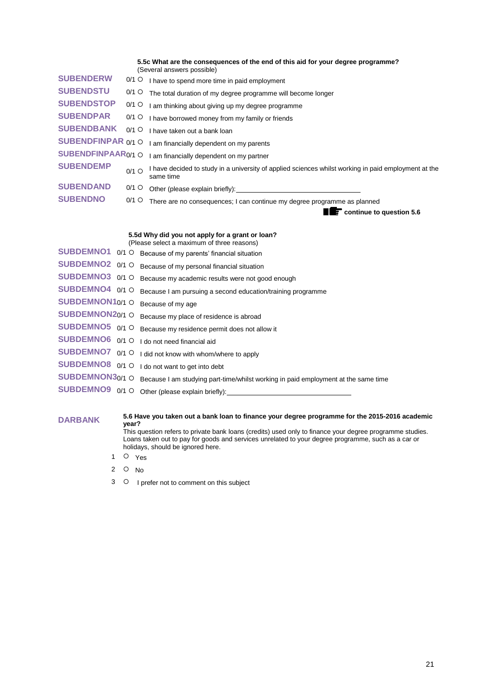|                                |                  | 5.5c What are the consequences of the end of this aid for your degree programme?<br>(Several answers possible)    |
|--------------------------------|------------------|-------------------------------------------------------------------------------------------------------------------|
| <b>SUBENDERW</b>               | $0/1$ O          | I have to spend more time in paid employment                                                                      |
| <b>SUBENDSTU</b>               | $0/1$ O          | The total duration of my degree programme will become longer                                                      |
| <b>SUBENDSTOP</b>              | $0/1$ O          | I am thinking about giving up my degree programme                                                                 |
| <b>SUBENDPAR</b>               | $0/1$ O          | I have borrowed money from my family or friends                                                                   |
| <b>SUBENDBANK</b>              | $0/1$ O          | I have taken out a bank loan                                                                                      |
| <b>SUBENDFINPAR 0/1 O</b>      |                  | I am financially dependent on my parents                                                                          |
| SUBENDFINPAAR <sub>0/1</sub> O |                  | I am financially dependent on my partner                                                                          |
| <b>SUBENDEMP</b>               | $0/1$ $\bigcirc$ | I have decided to study in a university of applied sciences whilst working in paid employment at the<br>same time |
| <b>SUBENDAND</b>               | $0/1$ O          | Other (please explain briefly): ___________                                                                       |
| <b>SUBENDNO</b>                | $0/1$ O          | There are no consequences; I can continue my degree programme as planned                                          |
|                                |                  | $\mathbf F$ continue to question 5.6                                                                              |

|                   |         | 5.5d Why did you not apply for a grant or loan?<br>(Please select a maximum of three reasons) |
|-------------------|---------|-----------------------------------------------------------------------------------------------|
| <b>SUBDEMNO1</b>  | $0/1$ O | Because of my parents' financial situation                                                    |
| SUBDEMNO2 0/1 O   |         | Because of my personal financial situation                                                    |
| SUBDEMNO3 0/1 O   |         | Because my academic results were not good enough                                              |
| SUBDEMNO4 0/1 O   |         | Because I am pursuing a second education/training programme                                   |
| SUBDEMNON10/1 O   |         | Because of my age                                                                             |
| SUBDEMNON20/1 O   |         | Because my place of residence is abroad                                                       |
| SUBDEMNO5 $0/1$ O |         | Because my residence permit does not allow it                                                 |
| SUBDEMNO6 0/1 O   |         | I do not need financial aid                                                                   |
| SUBDEMNO7 0/1 O   |         | I did not know with whom/where to apply                                                       |
| SUBDEMNO8 0/1 O   |         | I do not want to get into debt                                                                |
| SUBDEMNON30/1 O   |         | Because I am studying part-time/whilst working in paid employment at the same time            |
| SUBDEMNO9 0/1 O   |         | Other (please explain briefly):                                                               |
|                   |         |                                                                                               |

#### **DARBANK 5.6** Have you taken out a bank loan to finance your degree programme for the 2015-2016 academic **DARBANK year?**

This question refers to private bank loans (credits) used only to finance your degree programme studies. Loans taken out to pay for goods and services unrelated to your degree programme, such as a car or holidays, should be ignored here.

- 1 O Yes
- 2  $\circ$  No
- 3 O I prefer not to comment on this subject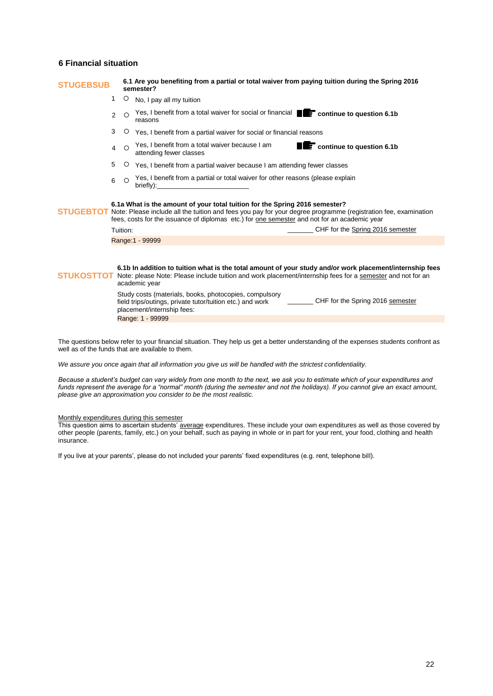### **6 Financial situation**

## **STUGEBSUB** 6.1 Are you benefiting from a partial or total waiver from paying tuition during the Spring 2016 **semester?** 1 O No, I pay all my tuition 2 O Yes, I benefit from a total waiver for social or financial **Continue to question 6.1b** reasons 3 O Yes, I benefit from a partial waiver for social or financial reasons 4 Yes, I benefit from a total waiver because I am attending fewer classes **Continue to question 6.1b** 5 Yes, I benefit from a partial waiver because I am attending fewer classes 6 Yes, I benefit from a partial or total waiver for other reasons (please explain briefly): **STUGEBTOT** Note: Please include all the tuition and fees you pay for your degree programme (registration fee, examination **6.1a What is the amount of your total tuition for the Spring 2016 semester?** fees, costs for the issuance of diplomas etc.) for <u>one semester</u> and not for an academic year Tuition: Tuition: **Tuition: Tuition: Tuition: CHF** for the Spring 2016 semester Range:1 - 99999 STUKOSTTOT Note: please Note: Please include tuition and work placement/internship fees for a semester and not for an **6.1b In addition to tuition what is the total amount of your study and/or work placement/internship fees** academic year Study costs (materials, books, photocopies, compulsory

field trips/outings, private tutor/tuition etc.) and work placement/internship fees: CHF for the Spring 2016 semester Range: 1 - 99999

The questions below refer to your financial situation. They help us get a better understanding of the expenses students confront as well as of the funds that are available to them.

*We assure you once again that all information you give us will be handled with the strictest confidentiality.*

*Because a student's budget can vary widely from one month to the next, we ask you to estimate which of your expenditures and funds represent the average for a "normal" month (during the semester and not the holidays). If you cannot give an exact amount, please give an approximation you consider to be the most realistic.*

#### Monthly expenditures during this semester

This question aims to ascertain students' average expenditures. These include your own expenditures as well as those covered by other people (parents, family, etc.) on your behalf, such as paying in whole or in part for your rent, your food, clothing and health insurance.

If you live at your parents', please do not included your parents' fixed expenditures (e.g. rent, telephone bill).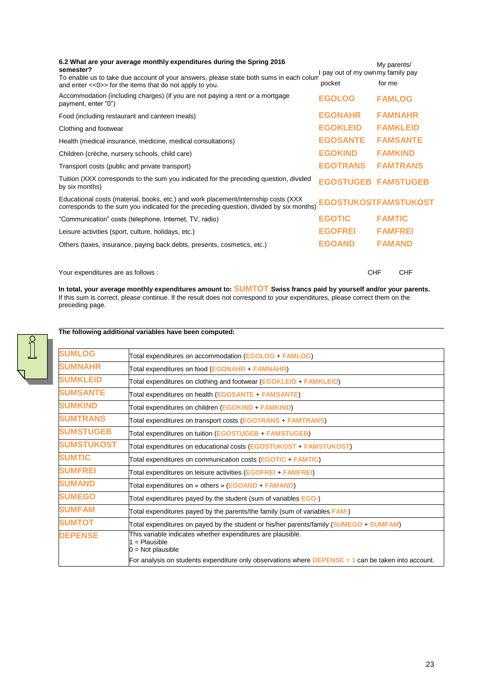| 6.2 What are your average monthly expenditures during the Spring 2016<br>semester?                                                                                             | I pay out of my ownmy family pay | My parents/   |                 |
|--------------------------------------------------------------------------------------------------------------------------------------------------------------------------------|----------------------------------|---------------|-----------------|
| To enable us to take due account of your answers, please state both sums in each colum<br>and enter << 0>> for the items that do not apply to you.                             | pocket                           | for me        |                 |
| Accommodation (including charges) (if you are not paying a rent or a mortgage<br>payment, enter "0")                                                                           | <b>EGOLOG</b>                    |               | <b>FAMLOG</b>   |
| Food (including restaurant and canteen meals)                                                                                                                                  | <b>EGONAHR</b>                   |               | <b>FAMNAHR</b>  |
| Clothing and footwear                                                                                                                                                          | <b>EGOKLEID</b>                  |               | <b>FAMKLEID</b> |
| Health (medical insurance, medicine, medical consultations)                                                                                                                    | <b>EGOSANTE</b>                  |               | <b>FAMSANTE</b> |
| Children (crèche, nursery schools, child care)                                                                                                                                 | <b>EGOKIND</b>                   |               | <b>FAMKIND</b>  |
| Transport costs (public and private transport)                                                                                                                                 | <b>EGOTRANS</b>                  |               | <b>FAMTRANS</b> |
| Tuition (XXX corresponds to the sum you indicated for the preceding question, divided<br>by six months)                                                                        | <b>EGOSTUGEB FAMSTUGEB</b>       |               |                 |
| Educational costs (material, books, etc.) and work placement/internship costs (XXX)<br>corresponds to the sum you indicated for the preceding question, divided by six months) | EGOSTUKOSTFAMSTUKOST             |               |                 |
| "Communication" costs (telephone, Internet, TV, radio)                                                                                                                         | <b>EGOTIC</b>                    | <b>FAMTIC</b> |                 |
| Leisure activities (sport, culture, holidays, etc.)                                                                                                                            | <b>EGOFREI</b>                   |               | <b>FAMFREI</b>  |
| Others (taxes, insurance, paying back debts, presents, cosmetics, etc.)                                                                                                        | <b>EGOAND</b>                    |               | <b>FAMAND</b>   |
|                                                                                                                                                                                |                                  |               |                 |
| Your expenditures are as follows :                                                                                                                                             |                                  | <b>CHF</b>    | <b>CHF</b>      |

**In total, your average monthly expenditures amount to: SUMTOT Swiss francs paid by yourself and/or your parents.** If this sum is correct, please continue. If the result does not correspond to your expenditures, please correct them on the preceding page.

| The following additional variables have been computed: |  |  |  |
|--------------------------------------------------------|--|--|--|

| <b>SUMLOG</b>     | Total expenditures on accommodation (EGOLOG + FAMLOG)                                                      |
|-------------------|------------------------------------------------------------------------------------------------------------|
| <b>SUMNAHR</b>    | Total expenditures on food (EGONAHR + FAMNAHR)                                                             |
| <b>SUMKLEID</b>   | Total expenditures on clothing and footwear (EGOKLEID + FAMKLEID)                                          |
| <b>SUMSANTE</b>   | Total expenditures on health (EGOSANTE + FAMSANTE)                                                         |
| <b>SUMKIND</b>    | Total expenditures on children (EGOKIND + FAMKIND)                                                         |
| <b>SUMTRANS</b>   | Total expenditures on transport costs (EGOTRANS + FAMTRANS)                                                |
| <b>SUMSTUGEB</b>  | Total expenditures on tuition (EGOSTUGEB + FAMSTUGEB)                                                      |
| <b>SUMSTUKOST</b> | Total expenditures on educational costs (EGOSTUKOST + FAMSTUKOST)                                          |
| <b>SUMTIC</b>     | Total expenditures on communication costs (EGOTIC + FAMTIC)                                                |
| <b>SUMFREI</b>    | Total expenditures on leisure activities (EGOFREI + FAMFREI)                                               |
| <b>SUMAND</b>     | Total expenditures on « others » (EGOAND + FAMAND)                                                         |
| <b>SUMEGO</b>     | Total expenditures payed by the student (sum of variables EGO-)                                            |
| <b>SUMFAM</b>     | Total expenditures payed by the parents/the family (sum of variables FAM-)                                 |
| <b>SUMTOT</b>     | Total expenditures on payed by the student or his/her parents/family (SUMEGO + SUMFAM)                     |
| <b>DEPENSE</b>    | This variable indicates whether expenditures are plausible.<br>$=$ Plausible<br>$0 = Not plausible$        |
|                   | For analysis on students expenditure only observations where <b>DEPENSE</b> = 1 can be taken into account. |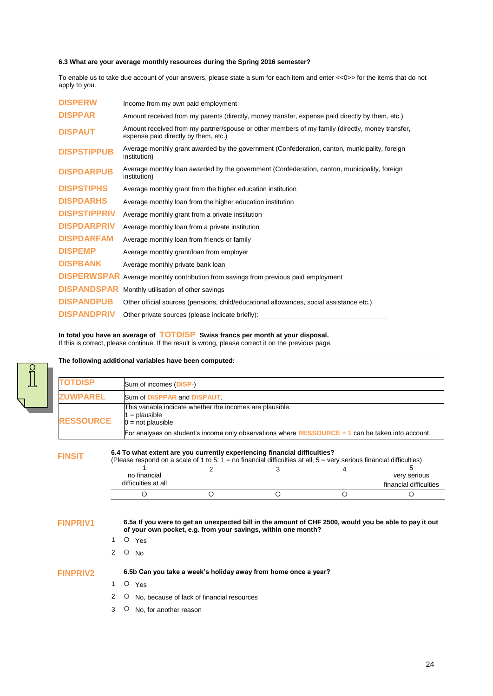## **6.3 What are your average monthly resources during the Spring 2016 semester?**

To enable us to take due account of your answers, please state a sum for each item and enter <<0>> for the items that do not apply to you.

| <b>DISPERW</b>      | Income from my own paid employment                                                                                                      |
|---------------------|-----------------------------------------------------------------------------------------------------------------------------------------|
| <b>DISPPAR</b>      | Amount received from my parents (directly, money transfer, expense paid directly by them, etc.)                                         |
| <b>DISPAUT</b>      | Amount received from my partner/spouse or other members of my family (directly, money transfer,<br>expense paid directly by them, etc.) |
| <b>DISPSTIPPUB</b>  | Average monthly grant awarded by the government (Confederation, canton, municipality, foreign<br>institution)                           |
| <b>DISPDARPUB</b>   | Average monthly loan awarded by the government (Confederation, canton, municipality, foreign<br>institution)                            |
| <b>DISPSTIPHS</b>   | Average monthly grant from the higher education institution                                                                             |
| <b>DISPDARHS</b>    | Average monthly loan from the higher education institution                                                                              |
| <b>DISPSTIPPRIV</b> | Average monthly grant from a private institution                                                                                        |
| <b>DISPDARPRIV</b>  | Average monthly loan from a private institution                                                                                         |
| <b>DISPDARFAM</b>   | Average monthly loan from friends or family                                                                                             |
| <b>DISPEMP</b>      | Average monthly grant/loan from employer                                                                                                |
| <b>DISPBANK</b>     | Average monthly private bank loan                                                                                                       |
| <b>DISPERWSPAR</b>  | Average monthly contribution from savings from previous paid employment                                                                 |
| <b>DISPANDSPAR</b>  | Monthly utilisation of other savings                                                                                                    |
| <b>DISPANDPUB</b>   | Other official sources (pensions, child/educational allowances, social assistance etc.)                                                 |
| <b>DISPANDPRIV</b>  | Other private sources (please indicate briefly):                                                                                        |

## **In total you have an average of TOTDISP Swiss francs per month at your disposal.**

If this is correct, please continue. If the result is wrong, please correct it on the previous page.

| <b>TOTDISP</b>                     |                                        | Sum of incomes (DISP-)                                    |                                                                                                                                                                        |   |                        |  |  |  |  |
|------------------------------------|----------------------------------------|-----------------------------------------------------------|------------------------------------------------------------------------------------------------------------------------------------------------------------------------|---|------------------------|--|--|--|--|
| <b>ZUWPAREL</b>                    | Sum of DISPPAR and DISPAUT.            |                                                           |                                                                                                                                                                        |   |                        |  |  |  |  |
| <b>RESSOURCE</b>                   | $1 =$ plausible<br>$0 = not plausible$ | This variable indicate whether the incomes are plausible. |                                                                                                                                                                        |   |                        |  |  |  |  |
|                                    |                                        |                                                           | For analyses on student's income only observations where RESSOURCE = 1 can be taken into account.                                                                      |   |                        |  |  |  |  |
|                                    | no financial                           | 2                                                         | 3                                                                                                                                                                      |   | 5<br>very serious      |  |  |  |  |
|                                    |                                        |                                                           |                                                                                                                                                                        |   |                        |  |  |  |  |
|                                    | difficulties at all                    |                                                           |                                                                                                                                                                        |   | financial difficulties |  |  |  |  |
|                                    | $\circ$                                | $\circ$                                                   | $\circ$                                                                                                                                                                | O | O                      |  |  |  |  |
|                                    |                                        |                                                           | 6.5a If you were to get an unexpected bill in the amount of CHF 2500, would you be able to pay it out<br>of your own pocket, e.g. from your savings, within one month? |   |                        |  |  |  |  |
|                                    | O Yes                                  |                                                           |                                                                                                                                                                        |   |                        |  |  |  |  |
|                                    | $\overline{2}$<br>$\circ$<br><b>No</b> |                                                           |                                                                                                                                                                        |   |                        |  |  |  |  |
| <b>FINPRIV1</b><br><b>FINPRIV2</b> |                                        |                                                           | 6.5b Can you take a week's holiday away from home once a year?                                                                                                         |   |                        |  |  |  |  |

- 2 O No, because of lack of financial resources
- 3 O No, for another reason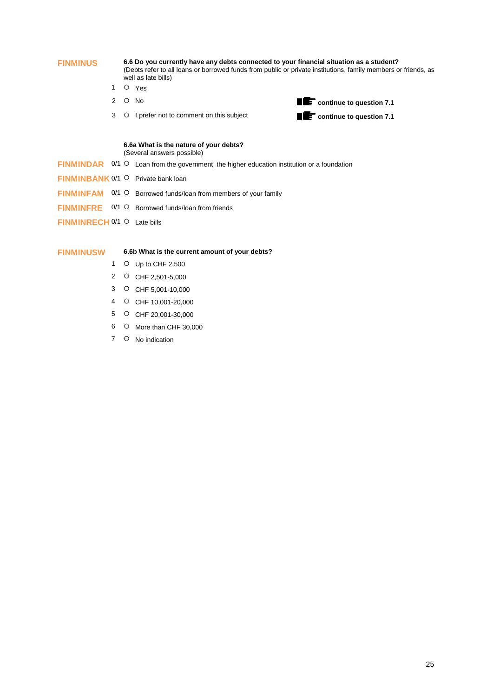**FINMINUS 6.6 Do you currently have any debts connected to your financial situation as a student?** (Debts refer to all loans or borrowed funds from public or private institutions, family members or friends, as well as late bills)

- 1 O Yes
- 
- 



#### **6.6a What is the nature of your debts?**  (Several answers possible)

- **FINMINDAR** 0/1  $\circ$  Loan from the government, the higher education institution or a foundation
- **FINMINBANK** 0/1 O Private bank loan
- FINMINFAM 0/1 O Borrowed funds/loan from members of your family
- **FINMINFRE** 0/1 O Borrowed funds/loan from friends
- **FINMINRECH 0/1 O Late bills**

#### **FINMINUSW 6.6b What is the current amount of your debts?**

- 1 O Up to CHF 2,500
- 2 CHF 2,501-5,000
- 3 CHF 5,001-10,000
- 4 CHF 10,001-20,000
- 5 CHF 20,001-30,000
- 6 O More than CHF 30,000
- 7 O No indication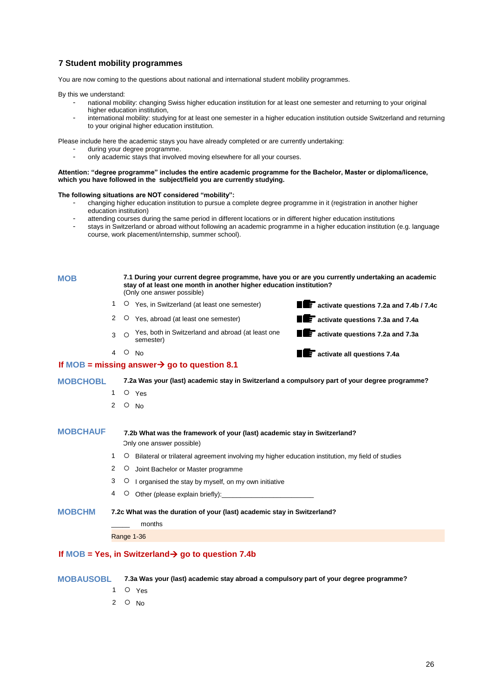# **7 Student mobility programmes**

You are now coming to the questions about national and international student mobility programmes.

By this we understand:

- national mobility: changing Swiss higher education institution for at least one semester and returning to your original higher education institution,
- international mobility: studying for at least one semester in a higher education institution outside Switzerland and returning to your original higher education institution.

Please include here the academic stays you have already completed or are currently undertaking:

- during your degree programme.
- only academic stays that involved moving elsewhere for all your courses.

#### **Attention: "degree programme" includes the entire academic programme for the Bachelor, Master or diploma/licence, which you have followed in the subject/field you are currently studying.**

#### **The following situations are NOT considered "mobility":**

- changing higher education institution to pursue a complete degree programme in it (registration in another higher education institution)
- attending courses during the same period in different locations or in different higher education institutions
- stays in Switzerland or abroad without following an academic programme in a higher education institution (e.g. language course, work placement/internship, summer school).

| <b>MOB</b>      |                |         | 7.1 During your current degree programme, have you or are you currently undertaking an academic<br>stay of at least one month in another higher education institution?<br>(Only one answer possible) |                                             |
|-----------------|----------------|---------|------------------------------------------------------------------------------------------------------------------------------------------------------------------------------------------------------|---------------------------------------------|
|                 | 1              |         | O Yes, in Switzerland (at least one semester)                                                                                                                                                        | activate questions 7.2a and 7.4b / 7.4c     |
|                 | $\overline{2}$ |         | O Yes, abroad (at least one semester)                                                                                                                                                                | <b>THE activate questions 7.3a and 7.4a</b> |
|                 | 3              | ∩       | Yes, both in Switzerland and abroad (at least one<br>semester)                                                                                                                                       | <b>THE activate questions 7.2a and 7.3a</b> |
|                 | 4 O            |         | <b>No</b>                                                                                                                                                                                            | <b>TE</b> activate all questions 7.4a       |
|                 |                |         | If MOB = missing answer $\rightarrow$ go to question 8.1                                                                                                                                             |                                             |
| <b>MOBCHOBL</b> |                |         | 7.2a Was your (last) academic stay in Switzerland a compulsory part of your degree programme?                                                                                                        |                                             |
|                 | 1              |         | O Yes                                                                                                                                                                                                |                                             |
|                 | $\overline{2}$ |         | $O$ No                                                                                                                                                                                               |                                             |
| <b>MOBCHAUF</b> |                |         | 7.2b What was the framework of your (last) academic stay in Switzerland?<br>Only one answer possible)                                                                                                |                                             |
|                 | 1              | O       | Bilateral or trilateral agreement involving my higher education institution, my field of studies                                                                                                     |                                             |
|                 | 2              | $\circ$ | Joint Bachelor or Master programme                                                                                                                                                                   |                                             |
|                 | 3              | Ő       | I organised the stay by myself, on my own initiative                                                                                                                                                 |                                             |
|                 | 4              |         | O Other (please explain briefly):                                                                                                                                                                    |                                             |
| <b>MOBCHM</b>   |                |         | 7.2c What was the duration of your (last) academic stay in Switzerland?<br>months                                                                                                                    |                                             |
|                 |                |         | Range 1-36                                                                                                                                                                                           |                                             |
|                 |                |         | If MOB = Yes, in Switzerland $\rightarrow$ go to question 7.4b                                                                                                                                       |                                             |

**MOBAUSOBL 7.3a Was your (last) academic stay abroad a compulsory part of your degree programme?**

- 1 O Yes
- 2  $\circ$  No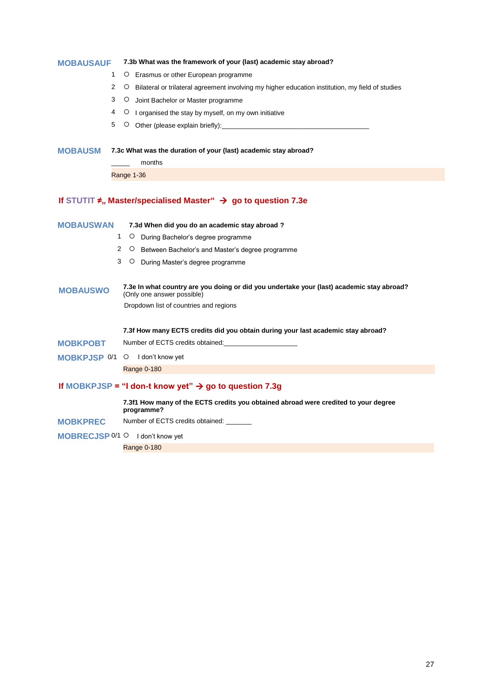# **MOBAUSAUF 7.3b What was the framework of your (last) academic stay abroad?**

- 1 O Erasmus or other European programme
- 2 O Bilateral or trilateral agreement involving my higher education institution, my field of studies
- 3 O Joint Bachelor or Master programme
- 4 O I organised the stay by myself, on my own initiative
- 5  $\circ$  Other (please explain briefly):

## **MOBAUSM 7.3c What was the duration of your (last) academic stay abroad?**

\_\_\_\_\_ months Range 1-36

# **If** STUTIT **≠**, Master/specialised Master" → go to question 7.3e

| <b>MOBAUSWAN</b>      |   | 7.3d When did you do an academic stay abroad?                                                                           |  |  |  |  |
|-----------------------|---|-------------------------------------------------------------------------------------------------------------------------|--|--|--|--|
|                       | 1 | $\circ$<br>During Bachelor's degree programme                                                                           |  |  |  |  |
|                       | 2 | $\circ$<br>Between Bachelor's and Master's degree programme                                                             |  |  |  |  |
|                       | 3 | $\circ$<br>During Master's degree programme                                                                             |  |  |  |  |
| <b>MOBAUSWO</b>       |   | 7.3e In what country are you doing or did you undertake your (last) academic stay abroad?<br>(Only one answer possible) |  |  |  |  |
|                       |   | Dropdown list of countries and regions                                                                                  |  |  |  |  |
|                       |   | 7.3f How many ECTS credits did you obtain during your last academic stay abroad?                                        |  |  |  |  |
|                       |   | Number of ECTS credits obtained:                                                                                        |  |  |  |  |
| <b>MOBKPOBT</b>       |   |                                                                                                                         |  |  |  |  |
| <b>MOBKPJSP 0/1 O</b> |   | I don't know yet                                                                                                        |  |  |  |  |
|                       |   | Range 0-180                                                                                                             |  |  |  |  |
|                       |   | If MOBKPJSP = "I don-t know yet" $\rightarrow$ go to question 7.3g                                                      |  |  |  |  |
|                       |   | 7.3f1 How many of the ECTS credits you obtained abroad were credited to your degree<br>programme?                       |  |  |  |  |

**MOBKPREC** Number of ECTS credits obtained: \_\_\_\_\_\_\_

#### MOBRECJSP 0/1 O I don't know yet

Range 0-180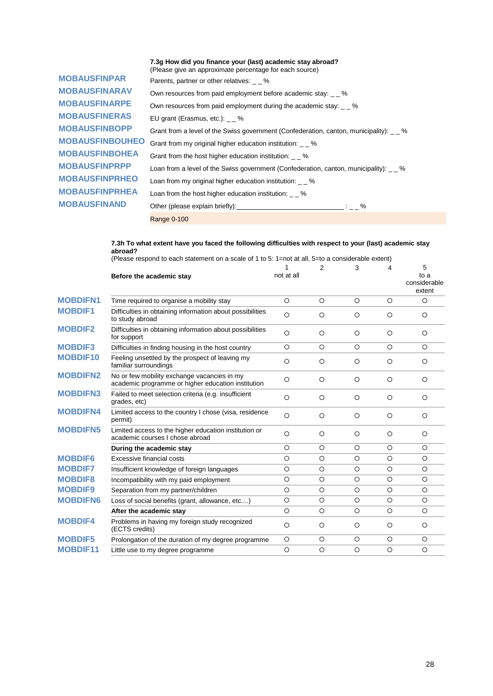|                        | 7.3g How did you finance your (last) academic stay abroad?<br>(Please give an approximate percentage for each source)                                                                                                                                                                         |
|------------------------|-----------------------------------------------------------------------------------------------------------------------------------------------------------------------------------------------------------------------------------------------------------------------------------------------|
| <b>MOBAUSFINPAR</b>    | Parents, partner or other relatives: _ _ %                                                                                                                                                                                                                                                    |
| <b>MOBAUSFINARAV</b>   | Own resources from paid employment before academic stay: _ _ %                                                                                                                                                                                                                                |
| <b>MOBAUSFINARPE</b>   | Own resources from paid employment during the academic stay: $\sim$ 2%                                                                                                                                                                                                                        |
| <b>MOBAUSFINERAS</b>   | EU grant (Erasmus, etc.): $-$ %                                                                                                                                                                                                                                                               |
| <b>MOBAUSFINBOPP</b>   | Grant from a level of the Swiss government (Confederation, canton, municipality): %                                                                                                                                                                                                           |
| <b>MOBAUSFINBOUHEO</b> | Grant from my original higher education institution: %                                                                                                                                                                                                                                        |
| <b>MOBAUSFINBOHEA</b>  | Grant from the host higher education institution: %                                                                                                                                                                                                                                           |
| <b>MOBAUSFINPRPP</b>   | Loan from a level of the Swiss government (Confederation, canton, municipality): %                                                                                                                                                                                                            |
| <b>MOBAUSFINPRHEO</b>  | Loan from my original higher education institution: %                                                                                                                                                                                                                                         |
| <b>MOBAUSFINPRHEA</b>  | Loan from the host higher education institution: %                                                                                                                                                                                                                                            |
| <b>MOBAUSFINAND</b>    | Other (please explain briefly): $\frac{1}{2}$ = $\frac{1}{2}$ = $\frac{1}{2}$ = $\frac{1}{2}$ = $\frac{1}{2}$ = $\frac{1}{2}$ = $\frac{1}{2}$ = $\frac{1}{2}$ = $\frac{1}{2}$ = $\frac{1}{2}$ = $\frac{1}{2}$ = $\frac{1}{2}$ = $\frac{1}{2}$ = $\frac{1}{2}$ = $\frac{1}{2}$ = $\frac{1}{2}$ |

Range 0-100

#### **7.3h To what extent have you faced the following difficulties with respect to your (last) academic stay abroad?**

(Please respond to each statement on a scale of 1 to 5: 1=not at all, 5=to a considerable extent)

|                 | Before the academic stay                                                                          | 1<br>not at all | $\overline{2}$ | 3       | 4       | 5<br>to a<br>considerable<br>extent |
|-----------------|---------------------------------------------------------------------------------------------------|-----------------|----------------|---------|---------|-------------------------------------|
| <b>MOBDIFN1</b> | Time required to organise a mobility stay                                                         | $\circ$         | $\circ$        | $\circ$ | $\circ$ | $\circ$                             |
| <b>MOBDIF1</b>  | Difficulties in obtaining information about possibilities<br>to study abroad                      | $\circ$         | $\circ$        | $\circ$ | $\circ$ | $\circ$                             |
| <b>MOBDIF2</b>  | Difficulties in obtaining information about possibilities<br>for support                          | $\circ$         | $\circ$        | $\circ$ | $\circ$ | $\circ$                             |
| <b>MOBDIF3</b>  | Difficulties in finding housing in the host country                                               | $\circ$         | $\circ$        | $\circ$ | $\circ$ | $\Omega$                            |
| <b>MOBDIF10</b> | Feeling unsettled by the prospect of leaving my<br>familiar surroundings                          | $\circ$         | O              | $\circ$ | $\circ$ | O                                   |
| <b>MOBDIFN2</b> | No or few mobility exchange vacancies in my<br>academic programme or higher education institution | $\circ$         | $\circ$        | $\circ$ | $\circ$ | $\circ$                             |
| <b>MOBDIFN3</b> | Failed to meet selection criteria (e.g. insufficient<br>grades, etc)                              | $\circ$         | $\circ$        | $\circ$ | $\circ$ | $\circ$                             |
| <b>MOBDIFN4</b> | Limited access to the country I chose (visa, residence<br>permit)                                 | $\circ$         | $\circ$        | $\circ$ | $\circ$ | $\circ$                             |
| <b>MOBDIFN5</b> | Limited access to the higher education institution or<br>academic courses I chose abroad          | $\circ$         | $\circ$        | $\circ$ | $\circ$ | $\circ$                             |
|                 | During the academic stay                                                                          | $\circ$         | $\circ$        | $\circ$ | $\circ$ | $\circ$                             |
| <b>MOBDIF6</b>  | Excessive financial costs                                                                         | $\circ$         | $\circ$        | $\circ$ | O       | $\circ$                             |
| <b>MOBDIF7</b>  | Insufficient knowledge of foreign languages                                                       | $\circ$         | $\circ$        | $\circ$ | $\circ$ | $\circ$                             |
| <b>MOBDIF8</b>  | Incompatibility with my paid employment                                                           | $\circ$         | $\circ$        | $\circ$ | $\circ$ | $\circ$                             |
| <b>MOBDIF9</b>  | Separation from my partner/children                                                               | $\circ$         | $\circ$        | $\circ$ | O       | $\circ$                             |
| <b>MOBDIFN6</b> | Loss of social benefits (grant, allowance, etc)                                                   | $\circ$         | $\circ$        | $\circ$ | $\circ$ | $\circ$                             |
|                 | After the academic stay                                                                           | $\circ$         | $\circ$        | $\circ$ | $\circ$ | $\circ$                             |
| <b>MOBDIF4</b>  | Problems in having my foreign study recognized<br>(ECTS credits)                                  | $\circ$         | $\circ$        | $\circ$ | $\circ$ | $\circ$                             |
| <b>MOBDIF5</b>  | Prolongation of the duration of my degree programme                                               | $\circ$         | $\circ$        | $\circ$ | $\circ$ | $\circ$                             |
| <b>MOBDIF11</b> | Little use to my degree programme                                                                 | $\circ$         | $\circ$        | $\circ$ | $\circ$ | $\circ$                             |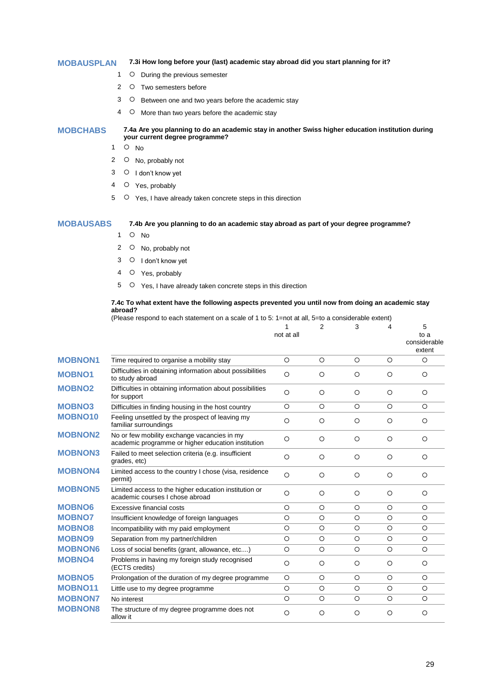#### **MOBAUSPLAN 7.3i How long before your (last) academic stay abroad did you start planning for it?**

- 1 O During the previous semester
- 2 O Two semesters before
- 3 O Between one and two years before the academic stay
- 4 O More than two years before the academic stay

#### **MOBCHABS 7.4a Are you planning to do an academic stay in another Swiss higher education institution during your current degree programme?**

- $1$  O No
- 2 O No, probably not
- 3 O I don't know yet
- 4 O Yes, probably
- 5 O Yes, I have already taken concrete steps in this direction

### **MOBAUSABS 7.4b Are you planning to do an academic stay abroad as part of your degree programme?**

- $1$  O No
- 2 O No, probably not
- 3 O I don't know yet
- 4 O Yes, probably
- 5  $\circ$  Yes, I have already taken concrete steps in this direction

#### **7.4c To what extent have the following aspects prevented you until now from doing an academic stay abroad?**

(Please respond to each statement on a scale of 1 to 5: 1=not at all, 5=to a considerable extent)

|                |                                                                                                   | 1<br>not at all | 2       | 3       | 4       | 5<br>to a<br>considerable<br>extent |
|----------------|---------------------------------------------------------------------------------------------------|-----------------|---------|---------|---------|-------------------------------------|
| <b>MOBNON1</b> | Time required to organise a mobility stay                                                         | $\circ$         | $\circ$ | $\circ$ | $\circ$ | O                                   |
| <b>MOBNO1</b>  | Difficulties in obtaining information about possibilities<br>to study abroad                      | $\circ$         | O       | $\circ$ | O       | $\circ$                             |
| <b>MOBNO2</b>  | Difficulties in obtaining information about possibilities<br>for support                          | $\circ$         | O       | $\circ$ | $\circ$ | $\circ$                             |
| <b>MOBNO3</b>  | Difficulties in finding housing in the host country                                               | $\circ$         | $\circ$ | $\circ$ | $\circ$ | $\circ$                             |
| <b>MOBNO10</b> | Feeling unsettled by the prospect of leaving my<br>familiar surroundings                          | $\circ$         | $\circ$ | $\circ$ | $\circ$ | $\circ$                             |
| <b>MOBNON2</b> | No or few mobility exchange vacancies in my<br>academic programme or higher education institution | $\circ$         | $\circ$ | $\circ$ | $\circ$ | $\circ$                             |
| <b>MOBNON3</b> | Failed to meet selection criteria (e.g. insufficient<br>grades, etc)                              | $\circ$         | $\circ$ | $\circ$ | $\circ$ | $\circ$                             |
| <b>MOBNON4</b> | Limited access to the country I chose (visa, residence<br>permit)                                 | $\circ$         | $\circ$ | $\circ$ | $\circ$ | O                                   |
| <b>MOBNON5</b> | Limited access to the higher education institution or<br>academic courses I chose abroad          | $\circ$         | $\circ$ | $\circ$ | $\circ$ | $\circ$                             |
| <b>MOBNO6</b>  | Excessive financial costs                                                                         | $\circ$         | $\circ$ | $\circ$ | $\circ$ | $\circ$                             |
| <b>MOBNO7</b>  | Insufficient knowledge of foreign languages                                                       | $\circ$         | $\circ$ | $\circ$ | $\circ$ | $\circ$                             |
| <b>MOBNO8</b>  | Incompatibility with my paid employment                                                           | O               | $\circ$ | $\circ$ | $\circ$ | $\circ$                             |
| <b>MOBNO9</b>  | Separation from my partner/children                                                               | $\circ$         | $\circ$ | $\circ$ | $\circ$ | $\circ$                             |
| <b>MOBNON6</b> | Loss of social benefits (grant, allowance, etc)                                                   | $\circ$         | O       | $\circ$ | $\circ$ | $\circ$                             |
| <b>MOBNO4</b>  | Problems in having my foreign study recognised<br>(ECTS credits)                                  | $\circ$         | O       | $\circ$ | $\circ$ | $\circ$                             |
| <b>MOBNO5</b>  | Prolongation of the duration of my degree programme                                               | $\circ$         | $\circ$ | $\circ$ | $\circ$ | $\circ$                             |
| <b>MOBNO11</b> | Little use to my degree programme                                                                 | $\circ$         | $\circ$ | $\circ$ | $\circ$ | $\circ$                             |
| <b>MOBNON7</b> | No interest                                                                                       | $\circ$         | $\circ$ | $\circ$ | $\circ$ | $\circ$                             |
| <b>MOBNON8</b> | The structure of my degree programme does not<br>allow it                                         | $\circ$         | $\circ$ | $\circ$ | $\circ$ | $\circ$                             |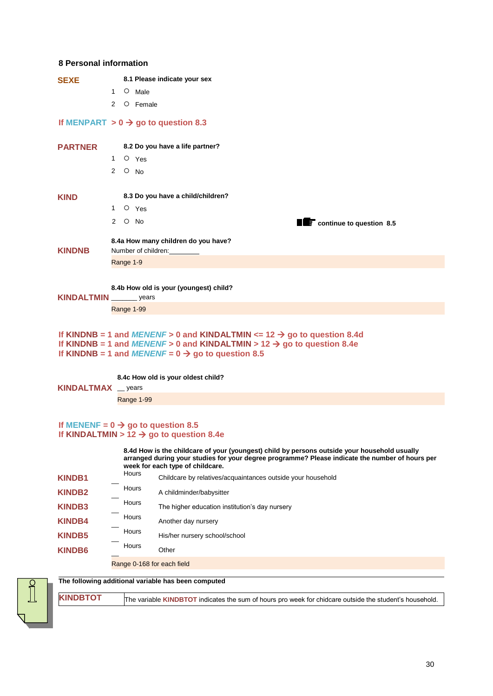# **8 Personal information**

| <b>SEXE</b>       |                |                | 8.1 Please indicate your sex                                        |
|-------------------|----------------|----------------|---------------------------------------------------------------------|
|                   | $\mathbf{1}$   |                | O Male                                                              |
|                   | $\overline{2}$ |                | O Female                                                            |
|                   |                |                | If MENPART $> 0 \rightarrow$ go to question 8.3                     |
| <b>PARTNER</b>    |                |                | 8.2 Do you have a life partner?                                     |
|                   | $1 \quad$      |                | O Yes                                                               |
|                   | $\overline{2}$ | $O$ No         |                                                                     |
| <b>KIND</b>       |                |                | 8.3 Do you have a child/children?                                   |
|                   | 1              |                | O Yes                                                               |
|                   |                | $2^\circ$ O No | <b>TE</b> continue to question 8.5                                  |
| <b>KINDNB</b>     |                |                | 8.4a How many children do you have?<br>Number of children: ________ |
|                   |                | Range 1-9      |                                                                     |
| <b>KINDALTMIN</b> |                |                | 8.4b How old is your (youngest) child?<br>$\frac{1}{2}$ years       |
|                   |                |                | Range 1-99                                                          |

```
If KINDNB = 1 and MENENF > 0 and KINDALTMIN <= 12 \rightarrow go to question 8.4d
If KINDNB = 1 and MENENF > 0 and KINDALTMIN > 12 \rightarrow go to question 8.4e
If KINDNB = 1 and MENENF = 0 \rightarrow go to question 8.5
```
**8.4c How old is your oldest child?**

**KINDALTMAX** \_\_ years

Range 1-99

# If **MENENF** =  $0 \rightarrow$  go to question 8.5 **If KINDALTMIN** >  $12 \rightarrow$  go to question 8.4e

**8.4d How is the childcare of your (youngest) child by persons outside your household usually arranged during your studies for your degree programme? Please indicate the number of hours per week for each type of childcare.**

| <b>KINDB1</b> | Hours                      | Childcare by relatives/acquaintances outside your household |
|---------------|----------------------------|-------------------------------------------------------------|
| <b>KINDB2</b> | Hours                      | A childminder/babysitter                                    |
| <b>KINDB3</b> | Hours                      | The higher education institution's day nursery              |
| <b>KINDB4</b> | Hours                      | Another day nursery                                         |
| <b>KINDB5</b> | Hours                      | His/her nursery school/school                               |
| <b>KINDB6</b> | Hours                      | Other                                                       |
|               | Range 0-168 for each field |                                                             |

**The following additional variable has been computed**



**KINDBTOT** The variable **KINDBTOT** indicates the sum of hours pro week for chidcare outside the student's household.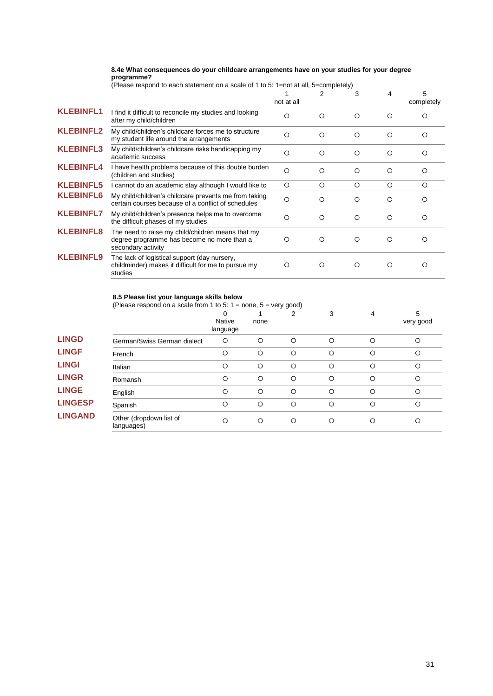### **8.4e What consequences do your childcare arrangements have on your studies for your degree programme?**

|  |  |  |  | (Please respond to each statement on a scale of 1 to 5: 1=not at all, 5=completely) |
|--|--|--|--|-------------------------------------------------------------------------------------|

|                  |                                                                                                                       | not at all | $\overline{2}$ | 3        | 4 | 5<br>completely |
|------------------|-----------------------------------------------------------------------------------------------------------------------|------------|----------------|----------|---|-----------------|
| <b>KLEBINFL1</b> | I find it difficult to reconcile my studies and looking<br>after my child/children                                    | $\Omega$   | $\circ$        | $\Omega$ | O | ∩               |
| <b>KLEBINFL2</b> | My child/children's childcare forces me to structure<br>my student life around the arrangements                       | $\circ$    | O              | O        | O | O               |
| <b>KLEBINFL3</b> | My child/children's childcare risks handicapping my<br>academic success                                               | $\circ$    | $\circ$        | $\circ$  | O | ∩               |
| <b>KLEBINFL4</b> | I have health problems because of this double burden<br>(children and studies)                                        | $\Omega$   | O              | $\Omega$ | O | $\Omega$        |
| <b>KLEBINFL5</b> | I cannot do an academic stay although I would like to                                                                 | $\circ$    | $\circ$        | $\circ$  | O | $\circ$         |
| <b>KLEBINFL6</b> | My child/children's childcare prevents me from taking<br>certain courses because of a conflict of schedules           | $\circ$    | O              | $\Omega$ | O | Ω               |
| <b>KLEBINFL7</b> | My child/children's presence helps me to overcome<br>the difficult phases of my studies                               | $\Omega$   | $\circ$        | $\circ$  | O | Ω               |
| <b>KLEBINFL8</b> | The need to raise my child/children means that my<br>degree programme has become no more than a<br>secondary activity | O          | O              | ◯        | O | ∩               |
| <b>KLEBINFL9</b> | The lack of logistical support (day nursery,<br>childminder) makes it difficult for me to pursue my<br>studies        | O          | O              | O        | O | Ω               |

#### **8.5 Please list your language skills below**

|                | (Please respond on a scale from 1 to 5: $1 =$ none, $5 =$ very good) |                         |         |         |   |   |                |
|----------------|----------------------------------------------------------------------|-------------------------|---------|---------|---|---|----------------|
|                |                                                                      | 0<br>Native<br>language | none    | 2       | 3 | 4 | 5<br>very good |
| <b>LINGD</b>   | German/Swiss German dialect                                          | $\circ$                 | $\circ$ | $\circ$ | O | Ω | $\circ$        |
| <b>LINGF</b>   | French                                                               | $\circ$                 | O       | $\circ$ | O | Ω | $\circ$        |
| <b>LINGI</b>   | Italian                                                              | О                       | O       | $\circ$ | O | ∩ | $\circ$        |
| <b>LINGR</b>   | Romansh                                                              | $\circ$                 | O       | $\circ$ | O | О | $\circ$        |
| <b>LINGE</b>   | English                                                              | $\circ$                 | $\circ$ | $\circ$ | O | Ω | $\circ$        |
| <b>LINGESP</b> | Spanish                                                              | O                       | O       | $\circ$ | O | О | $\circ$        |
| <b>LINGAND</b> | Other (dropdown list of<br>languages)                                | О                       | O       | O       | Ω | Ω | O              |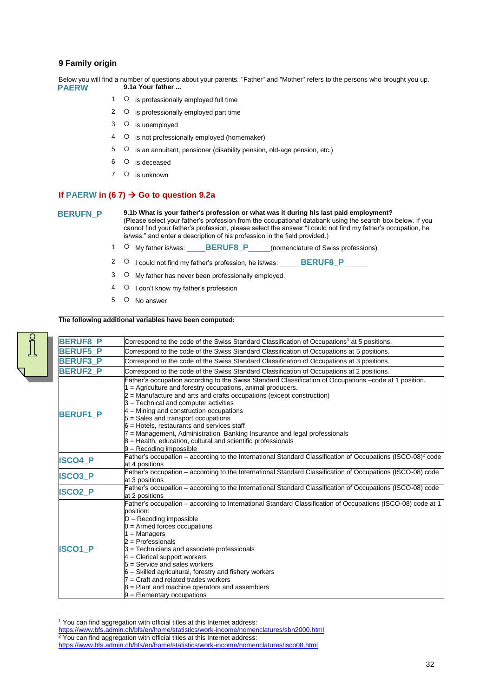# **9 Family origin**

Below you will find a number of questions about your parents. "Father" and "Mother" refers to the persons who brought you up. **PAERW 9.1a Your father ...**

- 1 O is professionally employed full time
- 2  $\circ$  is professionally employed part time
- 3 O is unemployed
- 4 O is not professionally employed (homemaker)
- 5  $\circ$  is an annuitant, pensioner (disability pension, old-age pension, etc.)
- 6 O is deceased
- 7 O is unknown

#### **If PAERW** in (6.7)  $\rightarrow$  Go to question 9.2a

#### **BERUFN\_P 9.1b What is your father's profession or what was it during his last paid employment?**

(Please select your father's profession from the occupational databank using the search box below. If you cannot find your father's profession, please select the answer "I could not find my father's occupation, he is/was:" and enter a description of his profession in the field provided.)

- 1 O My father is/was: **\_\_\_\_\_BERUF8\_P**\_\_\_\_\_(nomenclature of Swiss professions)
- 2  $\circ$  I could not find my father's profession, he is/was: **BERUF8** P
- 3 O My father has never been professionally employed.
- 4 O I don't know my father's profession
- 5 O No answer

# **The following additional variables have been computed:**



<sup>&</sup>lt;sup>1</sup> You can find aggregation with official titles at this Internet address:

<https://www.bfs.admin.ch/bfs/en/home/statistics/work-income/nomenclatures/sbn2000.html>

 $2$  You can find aggregation with official titles at this Internet address:

<https://www.bfs.admin.ch/bfs/en/home/statistics/work-income/nomenclatures/isco08.html>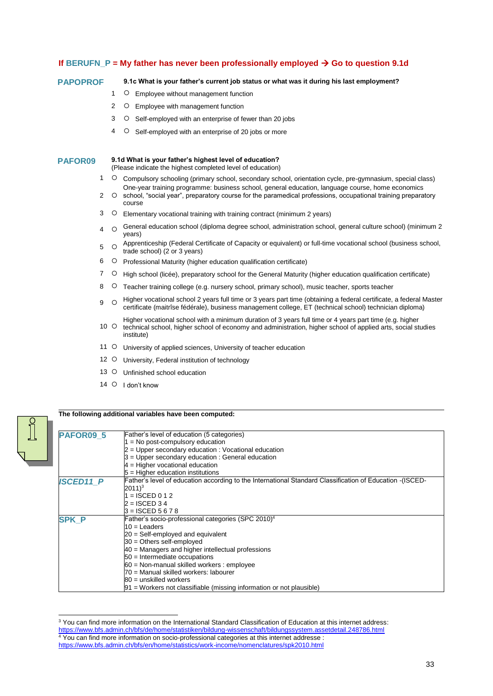# If BERUFN\_P = My father has never been professionally employed  $\rightarrow$  Go to question 9.1d

#### **PAPOPROF 9.1c What is your father's current job status or what was it during his last employment?**

- 1 O Employee without management function
- 2 O Employee with management function
- 3 O Self-employed with an enterprise of fewer than 20 jobs
- 4 O Self-employed with an enterprise of 20 jobs or more

# **PAFOR09 9.1d What is your father's highest level of education?**

(Please indicate the highest completed level of education)

- 1 Compulsory schooling (primary school, secondary school, orientation cycle, pre-gymnasium, special class) One-year training programme: business school, general education, language course, home economics
- $2^{\circ}$ school, "social year", preparatory course for the paramedical professions, occupational training preparatory course
- 3 Elementary vocational training with training contract (minimum 2 years)
- $\frac{4}{10}$  General education school (diploma degree school, administration school, general culture school) (minimum 2 years)
- 5 Apprenticeship (Federal Certificate of Capacity or equivalent) or full-time vocational school (business school, trade school) (2 or 3 years)
- 6 Professional Maturity (higher education qualification certificate)
- 7 O High school (licée), preparatory school for the General Maturity (higher education qualification certificate)
- 8 O Teacher training college (e.g. nursery school, primary school), music teacher, sports teacher
- 9 O Higher vocational school 2 years full time or 3 years part time (obtaining a federal certificate, a federal Master certificate (maitrîse fédérale), business management college, ET (technical school) technician diploma)
- 10 0 Higher vocational school with a minimum duration of 3 years full time or 4 years part time (e.g. higher technical school, higher school of economy and administration, higher school of applied arts, social studies institute)
- 11 O University of applied sciences, University of teacher education
- 12 O University, Federal institution of technology
- 13 O Unfinished school education
- 14 O I don't know

-

 $\int$ 

#### **The following additional variables have been computed:**



<sup>&</sup>lt;sup>3</sup> You can find more information on the International Standard Classification of Education at this internet address: <https://www.bfs.admin.ch/bfs/de/home/statistiken/bildung-wissenschaft/bildungssystem.assetdetail.248786.html> <sup>4</sup> You can find more information on socio-professional categories at this internet addresse : <https://www.bfs.admin.ch/bfs/en/home/statistics/work-income/nomenclatures/spk2010.html>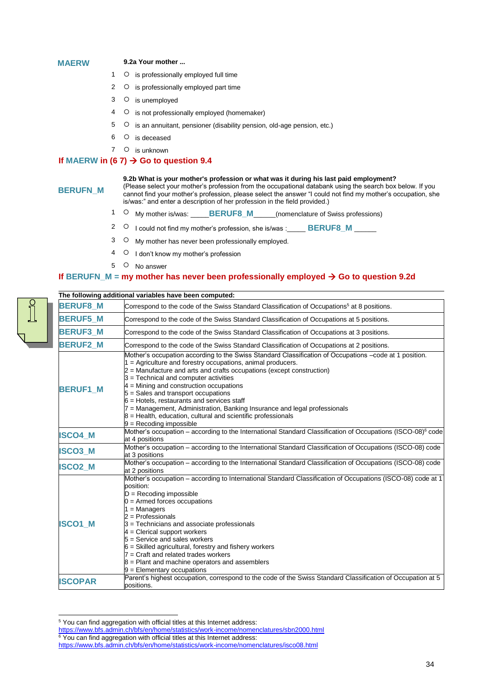#### **MAERW 9.2a Your mother ...**

- 
- $1$   $\circ$  is professionally employed full time
- 2  $\circ$  is professionally employed part time
- 3 O is unemployed
- 4 O is not professionally employed (homemaker)
- $5$   $\circ$  is an annuitant, pensioner (disability pension, old-age pension, etc.)
- 6 O is deceased
- 7 O is unknown

# **If MAERW** in (6 7)  $\rightarrow$  Go to question 9.4

#### **9.2b What is your mother's profession or what was it during his last paid employment?**

**BERUFN\_M**

(Please select your mother's profession from the occupational databank using the search box below. If you cannot find your mother's profession, please select the answer "I could not find my mother's occupation, she is/was:" and enter a description of her profession in the field provided.)

- 1 O My mother is/was: **\_\_\_\_\_BERUF8\_M**\_\_\_\_\_(nomenclature of Swiss professions)
- <sup>2</sup> <sup>O</sup> I could not find my mother's profession, she is/was :\_\_\_\_\_ **BERUF8 M**
- 3 O My mother has never been professionally employed.
- 4 O I don't know my mother's profession
- 5 O No answer

# **If** BERUFN  $M = my$  mother has never been professionally employed  $\rightarrow$  Go to question 9.2d

-

|                 | The following additional variables have been computed:                                                                                                                                                                                                                                                                                                                                                                                                                                                                                                                                                    |
|-----------------|-----------------------------------------------------------------------------------------------------------------------------------------------------------------------------------------------------------------------------------------------------------------------------------------------------------------------------------------------------------------------------------------------------------------------------------------------------------------------------------------------------------------------------------------------------------------------------------------------------------|
| <b>BERUF8_M</b> | Correspond to the code of the Swiss Standard Classification of Occupations <sup>5</sup> at 8 positions.                                                                                                                                                                                                                                                                                                                                                                                                                                                                                                   |
| <b>BERUF5_M</b> | Correspond to the code of the Swiss Standard Classification of Occupations at 5 positions.                                                                                                                                                                                                                                                                                                                                                                                                                                                                                                                |
| <b>BERUF3 M</b> | Correspond to the code of the Swiss Standard Classification of Occupations at 3 positions.                                                                                                                                                                                                                                                                                                                                                                                                                                                                                                                |
| <b>BERUF2 M</b> | Correspond to the code of the Swiss Standard Classification of Occupations at 2 positions.                                                                                                                                                                                                                                                                                                                                                                                                                                                                                                                |
| <b>BERUF1 M</b> | Mother's occupation according to the Swiss Standard Classification of Occupations -code at 1 position.<br>1 = Agriculture and forestry occupations, animal producers.<br>$2$ = Manufacture and arts and crafts occupations (except construction)<br>3 = Technical and computer activities<br>$4$ = Mining and construction occupations<br>5 = Sales and transport occupations<br>$6$ = Hotels, restaurants and services staff<br>7 = Management, Administration, Banking Insurance and legal professionals<br>$8$ = Health, education, cultural and scientific professionals<br>$9$ = Recoding impossible |
| <b>ISCO4 M</b>  | Mother's occupation - according to the International Standard Classification of Occupations (ISCO-08) <sup>6</sup> code<br>at 4 positions                                                                                                                                                                                                                                                                                                                                                                                                                                                                 |
| <b>ISCO3_M</b>  | Mother's occupation - according to the International Standard Classification of Occupations (ISCO-08) code<br>at 3 positions                                                                                                                                                                                                                                                                                                                                                                                                                                                                              |
| <b>ISCO2_M</b>  | Mother's occupation - according to the International Standard Classification of Occupations (ISCO-08) code<br>at 2 positions                                                                                                                                                                                                                                                                                                                                                                                                                                                                              |
| <b>ISCO1 M</b>  | Mother's occupation - according to International Standard Classification of Occupations (ISCO-08) code at 1<br>position:<br>$D =$ Recoding impossible<br>$0 =$ Armed forces occupations<br>$1 =$ Managers<br>$2$ = Professionals<br>3 = Technicians and associate professionals<br>$4$ = Clerical support workers<br>$5 =$ Service and sales workers<br>$6$ = Skilled agricultural, forestry and fishery workers<br>7 = Craft and related trades workers<br>$8$ = Plant and machine operators and assemblers<br>$9$ = Elementary occupations                                                              |
| <b>ISCOPAR</b>  | Parent's highest occupation, correspond to the code of the Swiss Standard Classification of Occupation at 5<br>positions.                                                                                                                                                                                                                                                                                                                                                                                                                                                                                 |

<sup>&</sup>lt;sup>5</sup> You can find aggregation with official titles at this Internet address:

<https://www.bfs.admin.ch/bfs/en/home/statistics/work-income/nomenclatures/sbn2000.html>

<sup>&</sup>lt;sup>6</sup> You can find aggregation with official titles at this Internet address:

<https://www.bfs.admin.ch/bfs/en/home/statistics/work-income/nomenclatures/isco08.html>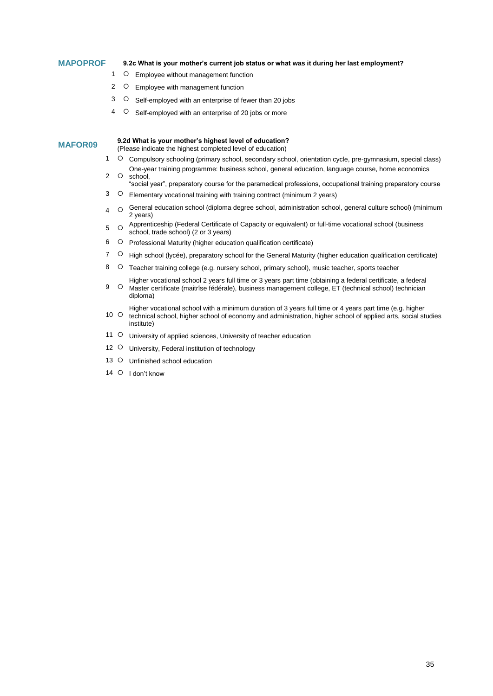### **MAPOPROF 9.2c What is your mother's current job status or what was it during her last employment?**

- 1 O Employee without management function
- 2 O Employee with management function
- 3 O Self-employed with an enterprise of fewer than 20 jobs
- 4 O Self-employed with an enterprise of 20 jobs or more

# **MAFOR09 9.2d What is your mother's highest level of education?**

(Please indicate the highest completed level of education)

- 1 C Compulsory schooling (primary school, secondary school, orientation cycle, pre-gymnasium, special class) 2 One-year training programme: business school, general education, language course, home economics school,
- "social year", preparatory course for the paramedical professions, occupational training preparatory course
- 3 Elementary vocational training with training contract (minimum 2 years)
- $4$   $\circ$  General education school (diploma degree school, administration school, general culture school) (minimum 2 years)
- 5 0 Apprenticeship (Federal Certificate of Capacity or equivalent) or full-time vocational school (business school, trade school) (2 or 3 years)
- 6 Professional Maturity (higher education qualification certificate)
- 7 O High school (lycée), preparatory school for the General Maturity (higher education qualification certificate)
- 8 O Teacher training college (e.g. nursery school, primary school), music teacher, sports teacher
- 9 O Higher vocational school 2 years full time or 3 years part time (obtaining a federal certificate, a federal Master certificate (maitrîse fédérale), business management college, ET (technical school) technician diploma)
- $10^\circ$ O Higher vocational school with a minimum duration of 3 years full time or 4 years part time (e.g. higher technical school, higher school of economy and administration, higher school of applied arts, social studies institute)
- 11 O University of applied sciences, University of teacher education
- 12 O University, Federal institution of technology
- 13 O Unfinished school education
- 14 O I don't know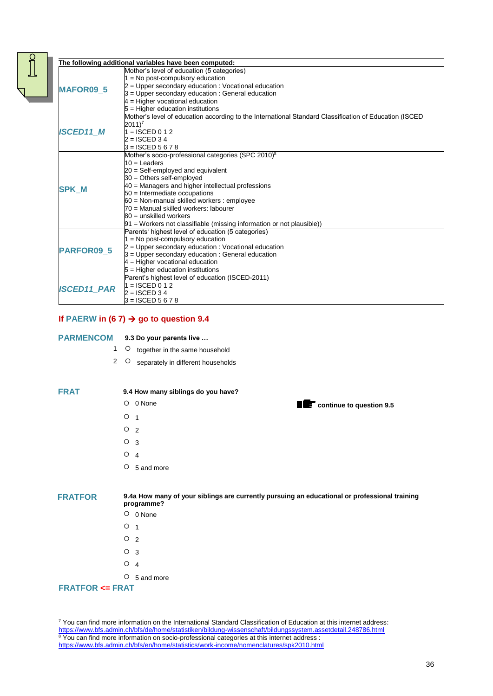|                    | The following additional variables have been computed:                                                 |
|--------------------|--------------------------------------------------------------------------------------------------------|
|                    | Mother's level of education (5 categories)                                                             |
| <b>MAFOR09 5</b>   | $1 = No post-compulsory education$                                                                     |
|                    | 2 = Upper secondary education : Vocational education                                                   |
|                    | 3 = Upper secondary education : General education                                                      |
|                    | $4$ = Higher vocational education                                                                      |
|                    | 5 = Higher education institutions                                                                      |
|                    | Mother's level of education according to the International Standard Classification of Education (ISCED |
|                    | $2011$ <sup>7</sup>                                                                                    |
| <b>ISCED11 M</b>   | $1 =$ ISCED 0 1 2                                                                                      |
|                    | $2 = ISCED 3 4$                                                                                        |
|                    | $3 = ISCED 5 6 7 8$                                                                                    |
|                    | Mother's socio-professional categories (SPC 2010) <sup>8</sup>                                         |
|                    | $10 =$ Leaders                                                                                         |
|                    | 20 = Self-employed and equivalent                                                                      |
|                    | 30 = Others self-employed                                                                              |
| <b>SPK M</b>       | 40 = Managers and higher intellectual professions                                                      |
|                    | 50 = Intermediate occupations                                                                          |
|                    | 60 = Non-manual skilled workers : employee                                                             |
|                    | 70 = Manual skilled workers: labourer                                                                  |
|                    | $80 =$ unskilled workers                                                                               |
|                    | $91$ = Workers not classifiable (missing information or not plausible))                                |
|                    | Parents' highest level of education (5 categories)                                                     |
|                    | $1 = No$ post-compulsory education                                                                     |
| <b>PARFOR09 5</b>  | $2$ = Upper secondary education : Vocational education                                                 |
|                    | 3 = Upper secondary education : General education                                                      |
|                    | $4$ = Higher vocational education                                                                      |
|                    | $5$ = Higher education institutions                                                                    |
|                    | Parent's highest level of education (ISCED-2011)                                                       |
| <b>ISCED11_PAR</b> | $1 = ISCED 0 1 2$                                                                                      |
|                    | $2 =$ ISCED 34                                                                                         |
|                    | $3 =$ ISCED 5 6 7 8                                                                                    |

# **If PAERW** in (6 7)  $\rightarrow$  go to question 9.4

### **PARMENCOM 9.3 Do your parents live …**

- 1 O together in the same household
- 2 O separately in different households

#### **FRAT 9.4 How many siblings do you have?**

- 0 None **continue to question 9.5**
- $O<sub>1</sub>$
- $O<sub>2</sub>$
- $O<sub>3</sub>$
- $O<sub>4</sub>$
- 5 and more

-

**FRATFOR 9.4a How many of your siblings are currently pursuing an educational or professional training programme?**

- 0 None
- $O<sub>1</sub>$
- $O<sub>2</sub>$
- $O<sub>3</sub>$
- $O \quad 4$
- 5 and more

# **FRATFOR <= FRAT**

 $^7$  You can find more information on the International Standard Classification of Education at this internet address: <https://www.bfs.admin.ch/bfs/de/home/statistiken/bildung-wissenschaft/bildungssystem.assetdetail.248786.html>  $8$  You can find more information on socio-professional categories at this internet address : <https://www.bfs.admin.ch/bfs/en/home/statistics/work-income/nomenclatures/spk2010.html>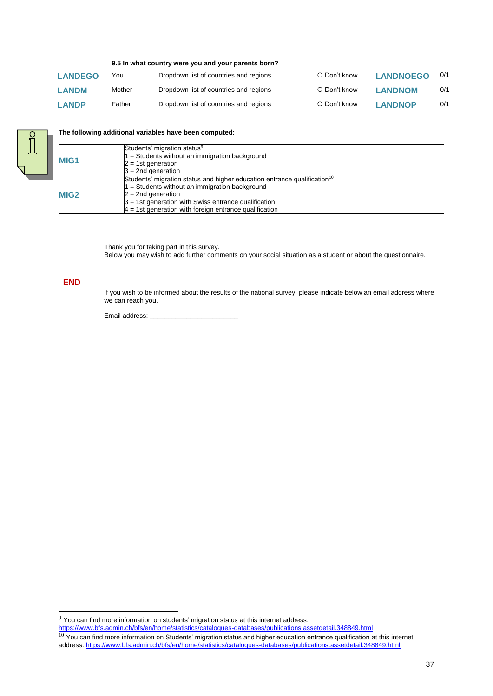#### **9.5 In what country were you and your parents born?**

| <b>LANDEGO</b> | You    | Dropdown list of countries and regions | ○ Don't know       | <b>LANDNOEGO</b> | 0/1 |
|----------------|--------|----------------------------------------|--------------------|------------------|-----|
| <b>LANDM</b>   | Mother | Dropdown list of countries and regions | ○ Don't know       | <b>LANDNOM</b>   | 0/1 |
| <b>LANDP</b>   | Father | Dropdown list of countries and regions | $\circ$ Don't know | <b>LANDNOP</b>   | 0/1 |



| The following additional variables have been computed: |  |  |  |
|--------------------------------------------------------|--|--|--|
|--------------------------------------------------------|--|--|--|

| MIG <sub>1</sub> | Students' migration status <sup>9</sup><br>1 = Students without an immigration background<br>$2 = 1$ st generation<br>$3 = 2nd$ generation                                                                                                                                             |
|------------------|----------------------------------------------------------------------------------------------------------------------------------------------------------------------------------------------------------------------------------------------------------------------------------------|
| MIG <sub>2</sub> | Students' migration status and higher education entrance qualification <sup>10</sup><br>1 = Students without an immigration background<br>$2 = 2nd$ generation<br>$3 = 1$ st generation with Swiss entrance qualification<br>$4 = 1$ st generation with foreign entrance qualification |

Thank you for taking part in this survey. Below you may wish to add further comments on your social situation as a student or about the questionnaire.

# **END**

-

If you wish to be informed about the results of the national survey, please indicate below an email address where we can reach you.

Email address: \_

<https://www.bfs.admin.ch/bfs/en/home/statistics/catalogues-databases/publications.assetdetail.348849.html>

 $9$  You can find more information on students' migration status at this internet address:

 $10$  You can find more information on Students' migration status and higher education entrance qualification at this internet address:<https://www.bfs.admin.ch/bfs/en/home/statistics/catalogues-databases/publications.assetdetail.348849.html>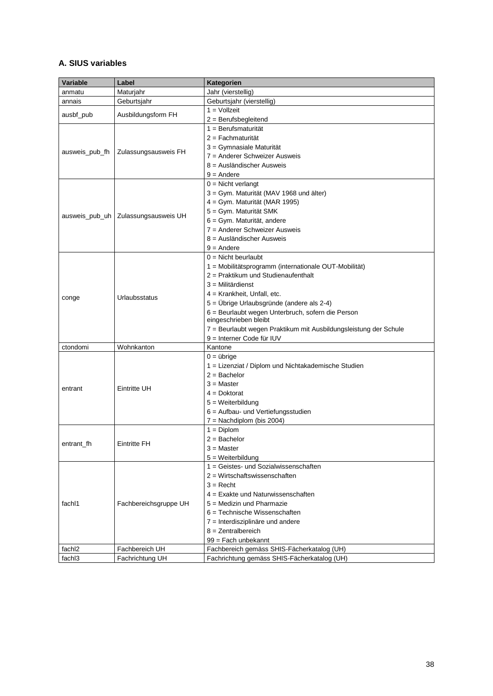# **A. SIUS variables**

| Variable           | Label                 | Kategorien                                                                                    |
|--------------------|-----------------------|-----------------------------------------------------------------------------------------------|
| anmatu             | Maturjahr             | Jahr (vierstellig)                                                                            |
| annais             | Geburtsjahr           | Geburtsjahr (vierstellig)                                                                     |
| ausbf_pub          | Ausbildungsform FH    | $1 = VolZeit$                                                                                 |
|                    |                       | $2 =$ Berufsbegleitend                                                                        |
|                    |                       | $1 = Berufsmaturität$                                                                         |
|                    |                       | $2 =$ Fachmaturität                                                                           |
| ausweis_pub_fh     | Zulassungsausweis FH  | 3 = Gymnasiale Maturität                                                                      |
|                    |                       | 7 = Anderer Schweizer Ausweis                                                                 |
|                    |                       | 8 = Ausländischer Ausweis                                                                     |
|                    |                       | $9 =$ Andere                                                                                  |
|                    |                       | $0 =$ Nicht verlangt                                                                          |
|                    |                       | 3 = Gym. Maturität (MAV 1968 und älter)                                                       |
|                    |                       | 4 = Gym. Maturität (MAR 1995)                                                                 |
| ausweis_pub_uh     | Zulassungsausweis UH  | 5 = Gym. Maturität SMK                                                                        |
|                    |                       | 6 = Gym. Maturität, andere                                                                    |
|                    |                       | 7 = Anderer Schweizer Ausweis                                                                 |
|                    |                       | 8 = Ausländischer Ausweis                                                                     |
|                    |                       | $9 =$ Andere                                                                                  |
|                    |                       | $0 =$ Nicht beurlaubt                                                                         |
| conge              | Urlaubsstatus         | 1 = Mobilitätsprogramm (internationale OUT-Mobilität)                                         |
|                    |                       | 2 = Praktikum und Studienaufenthalt                                                           |
|                    |                       | $3$ = Militärdienst                                                                           |
|                    |                       | 4 = Krankheit, Unfall, etc.                                                                   |
|                    |                       | 5 = Übrige Urlaubsgründe (andere als 2-4)                                                     |
|                    |                       | 6 = Beurlaubt wegen Unterbruch, sofern die Person                                             |
|                    |                       | eingeschrieben bleibt                                                                         |
|                    |                       | 7 = Beurlaubt wegen Praktikum mit Ausbildungsleistung der Schule<br>9 = Interner Code für IUV |
| ctondomi           | Wohnkanton            | Kantone                                                                                       |
|                    |                       | $0 = 0$                                                                                       |
|                    |                       | 1 = Lizenziat / Diplom und Nichtakademische Studien                                           |
|                    | <b>Eintritte UH</b>   | $2 =$ Bachelor                                                                                |
| entrant            |                       | $3 = Master$                                                                                  |
|                    |                       | $4 = Doktorat$                                                                                |
|                    |                       | $5 =$ Weiterbildung                                                                           |
|                    |                       | 6 = Aufbau- und Vertiefungsstudien                                                            |
|                    |                       | $7 =$ Nachdiplom (bis 2004)                                                                   |
|                    |                       | $1 = Diplom$                                                                                  |
|                    |                       | $2 =$ Bachelor                                                                                |
| entrant fh         | <b>Eintritte FH</b>   | $3 = Master$                                                                                  |
|                    |                       | 5 = Weiterbildung                                                                             |
|                    |                       | 1 = Geistes- und Sozialwissenschaften                                                         |
|                    |                       | $2$ = Wirtschaftswissenschaften                                                               |
|                    | Fachbereichsgruppe UH | $3 =$ Recht                                                                                   |
| fachl1             |                       | $4$ = Exakte und Naturwissenschaften                                                          |
|                    |                       | 5 = Medizin und Pharmazie                                                                     |
|                    |                       | $6$ = Technische Wissenschaften                                                               |
|                    |                       | 7 = Interdisziplinäre und andere                                                              |
|                    |                       | $8 =$ Zentralbereich                                                                          |
|                    |                       | 99 = Fach unbekannt                                                                           |
| fachl <sub>2</sub> | Fachbereich UH        | Fachbereich gemäss SHIS-Fächerkatalog (UH)                                                    |
| fachl3             | Fachrichtung UH       | Fachrichtung gemäss SHIS-Fächerkatalog (UH)                                                   |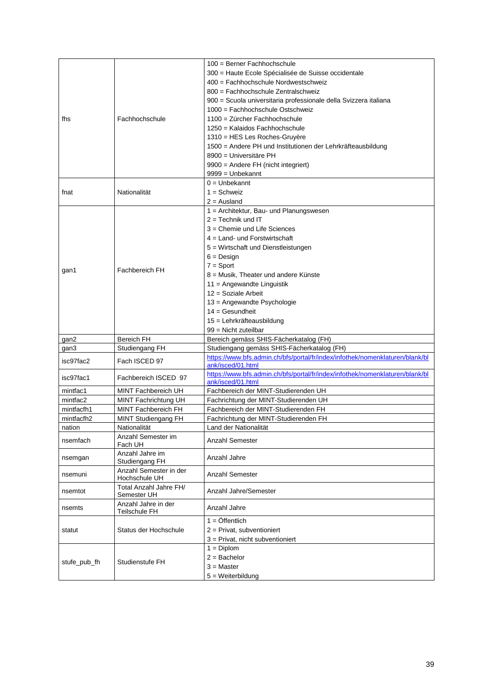| 300 = Haute Ecole Spécialisée de Suisse occidentale<br>400 = Fachhochschule Nordwestschweiz<br>800 = Fachhochschule Zentralschweiz<br>900 = Scuola universitaria professionale della Svizzera italiana<br>1000 = Fachhochschule Ostschweiz<br>Fachhochschule<br>1100 = Zürcher Fachhochschule<br>fhs<br>1250 = Kalaidos Fachhochschule<br>1310 = HES Les Roches-Gruyère<br>1500 = Andere PH und Institutionen der Lehrkräfteausbildung<br>8900 = Universitäre PH<br>9900 = Andere FH (nicht integriert)<br>$9999 =$ Unbekannt<br>$0 =$ Unbekannt<br>Nationalität<br>$1 = Schweiz$<br>fnat<br>$2 =$ Ausland<br>1 = Architektur, Bau- und Planungswesen<br>$2 =$ Technik und IT<br>3 = Chemie und Life Sciences<br>$4 =$ Land- und Forstwirtschaft<br>5 = Wirtschaft und Dienstleistungen<br>$6 = Design$<br>$7 =$ Sport<br>Fachbereich FH<br>gan1<br>8 = Musik, Theater und andere Künste<br>11 = Angewandte Linguistik<br>$12 =$ Soziale Arbeit<br>13 = Angewandte Psychologie<br>$14 =$ Gesundheit<br>15 = Lehrkräfteausbildung<br>$99 =$ Nicht zuteilbar<br><b>Bereich FH</b><br>Bereich gemäss SHIS-Fächerkatalog (FH)<br>gan2<br>Studiengang gemäss SHIS-Fächerkatalog (FH)<br>gan3<br>Studiengang FH<br>https://www.bfs.admin.ch/bfs/portal/fr/index/infothek/nomenklaturen/blank/bl<br>isc97fac2<br>Fach ISCED 97<br>ank/isced/01.html<br>https://www.bfs.admin.ch/bfs/portal/fr/index/infothek/nomenklaturen/blank/bl<br>isc97fac1<br>Fachbereich ISCED 97<br>ank/isced/01.html<br>Fachbereich der MINT-Studierenden UH<br>mintfac1<br>MINT Fachbereich UH<br>mintfac2<br>Fachrichtung der MINT-Studierenden UH<br>MINT Fachrichtung UH |
|------------------------------------------------------------------------------------------------------------------------------------------------------------------------------------------------------------------------------------------------------------------------------------------------------------------------------------------------------------------------------------------------------------------------------------------------------------------------------------------------------------------------------------------------------------------------------------------------------------------------------------------------------------------------------------------------------------------------------------------------------------------------------------------------------------------------------------------------------------------------------------------------------------------------------------------------------------------------------------------------------------------------------------------------------------------------------------------------------------------------------------------------------------------------------------------------------------------------------------------------------------------------------------------------------------------------------------------------------------------------------------------------------------------------------------------------------------------------------------------------------------------------------------------------------------------------------------------------------------------------------------------------|
|                                                                                                                                                                                                                                                                                                                                                                                                                                                                                                                                                                                                                                                                                                                                                                                                                                                                                                                                                                                                                                                                                                                                                                                                                                                                                                                                                                                                                                                                                                                                                                                                                                                |
|                                                                                                                                                                                                                                                                                                                                                                                                                                                                                                                                                                                                                                                                                                                                                                                                                                                                                                                                                                                                                                                                                                                                                                                                                                                                                                                                                                                                                                                                                                                                                                                                                                                |
|                                                                                                                                                                                                                                                                                                                                                                                                                                                                                                                                                                                                                                                                                                                                                                                                                                                                                                                                                                                                                                                                                                                                                                                                                                                                                                                                                                                                                                                                                                                                                                                                                                                |
|                                                                                                                                                                                                                                                                                                                                                                                                                                                                                                                                                                                                                                                                                                                                                                                                                                                                                                                                                                                                                                                                                                                                                                                                                                                                                                                                                                                                                                                                                                                                                                                                                                                |
|                                                                                                                                                                                                                                                                                                                                                                                                                                                                                                                                                                                                                                                                                                                                                                                                                                                                                                                                                                                                                                                                                                                                                                                                                                                                                                                                                                                                                                                                                                                                                                                                                                                |
|                                                                                                                                                                                                                                                                                                                                                                                                                                                                                                                                                                                                                                                                                                                                                                                                                                                                                                                                                                                                                                                                                                                                                                                                                                                                                                                                                                                                                                                                                                                                                                                                                                                |
|                                                                                                                                                                                                                                                                                                                                                                                                                                                                                                                                                                                                                                                                                                                                                                                                                                                                                                                                                                                                                                                                                                                                                                                                                                                                                                                                                                                                                                                                                                                                                                                                                                                |
|                                                                                                                                                                                                                                                                                                                                                                                                                                                                                                                                                                                                                                                                                                                                                                                                                                                                                                                                                                                                                                                                                                                                                                                                                                                                                                                                                                                                                                                                                                                                                                                                                                                |
|                                                                                                                                                                                                                                                                                                                                                                                                                                                                                                                                                                                                                                                                                                                                                                                                                                                                                                                                                                                                                                                                                                                                                                                                                                                                                                                                                                                                                                                                                                                                                                                                                                                |
|                                                                                                                                                                                                                                                                                                                                                                                                                                                                                                                                                                                                                                                                                                                                                                                                                                                                                                                                                                                                                                                                                                                                                                                                                                                                                                                                                                                                                                                                                                                                                                                                                                                |
|                                                                                                                                                                                                                                                                                                                                                                                                                                                                                                                                                                                                                                                                                                                                                                                                                                                                                                                                                                                                                                                                                                                                                                                                                                                                                                                                                                                                                                                                                                                                                                                                                                                |
|                                                                                                                                                                                                                                                                                                                                                                                                                                                                                                                                                                                                                                                                                                                                                                                                                                                                                                                                                                                                                                                                                                                                                                                                                                                                                                                                                                                                                                                                                                                                                                                                                                                |
|                                                                                                                                                                                                                                                                                                                                                                                                                                                                                                                                                                                                                                                                                                                                                                                                                                                                                                                                                                                                                                                                                                                                                                                                                                                                                                                                                                                                                                                                                                                                                                                                                                                |
|                                                                                                                                                                                                                                                                                                                                                                                                                                                                                                                                                                                                                                                                                                                                                                                                                                                                                                                                                                                                                                                                                                                                                                                                                                                                                                                                                                                                                                                                                                                                                                                                                                                |
|                                                                                                                                                                                                                                                                                                                                                                                                                                                                                                                                                                                                                                                                                                                                                                                                                                                                                                                                                                                                                                                                                                                                                                                                                                                                                                                                                                                                                                                                                                                                                                                                                                                |
|                                                                                                                                                                                                                                                                                                                                                                                                                                                                                                                                                                                                                                                                                                                                                                                                                                                                                                                                                                                                                                                                                                                                                                                                                                                                                                                                                                                                                                                                                                                                                                                                                                                |
|                                                                                                                                                                                                                                                                                                                                                                                                                                                                                                                                                                                                                                                                                                                                                                                                                                                                                                                                                                                                                                                                                                                                                                                                                                                                                                                                                                                                                                                                                                                                                                                                                                                |
|                                                                                                                                                                                                                                                                                                                                                                                                                                                                                                                                                                                                                                                                                                                                                                                                                                                                                                                                                                                                                                                                                                                                                                                                                                                                                                                                                                                                                                                                                                                                                                                                                                                |
|                                                                                                                                                                                                                                                                                                                                                                                                                                                                                                                                                                                                                                                                                                                                                                                                                                                                                                                                                                                                                                                                                                                                                                                                                                                                                                                                                                                                                                                                                                                                                                                                                                                |
|                                                                                                                                                                                                                                                                                                                                                                                                                                                                                                                                                                                                                                                                                                                                                                                                                                                                                                                                                                                                                                                                                                                                                                                                                                                                                                                                                                                                                                                                                                                                                                                                                                                |
|                                                                                                                                                                                                                                                                                                                                                                                                                                                                                                                                                                                                                                                                                                                                                                                                                                                                                                                                                                                                                                                                                                                                                                                                                                                                                                                                                                                                                                                                                                                                                                                                                                                |
|                                                                                                                                                                                                                                                                                                                                                                                                                                                                                                                                                                                                                                                                                                                                                                                                                                                                                                                                                                                                                                                                                                                                                                                                                                                                                                                                                                                                                                                                                                                                                                                                                                                |
|                                                                                                                                                                                                                                                                                                                                                                                                                                                                                                                                                                                                                                                                                                                                                                                                                                                                                                                                                                                                                                                                                                                                                                                                                                                                                                                                                                                                                                                                                                                                                                                                                                                |
|                                                                                                                                                                                                                                                                                                                                                                                                                                                                                                                                                                                                                                                                                                                                                                                                                                                                                                                                                                                                                                                                                                                                                                                                                                                                                                                                                                                                                                                                                                                                                                                                                                                |
|                                                                                                                                                                                                                                                                                                                                                                                                                                                                                                                                                                                                                                                                                                                                                                                                                                                                                                                                                                                                                                                                                                                                                                                                                                                                                                                                                                                                                                                                                                                                                                                                                                                |
|                                                                                                                                                                                                                                                                                                                                                                                                                                                                                                                                                                                                                                                                                                                                                                                                                                                                                                                                                                                                                                                                                                                                                                                                                                                                                                                                                                                                                                                                                                                                                                                                                                                |
|                                                                                                                                                                                                                                                                                                                                                                                                                                                                                                                                                                                                                                                                                                                                                                                                                                                                                                                                                                                                                                                                                                                                                                                                                                                                                                                                                                                                                                                                                                                                                                                                                                                |
|                                                                                                                                                                                                                                                                                                                                                                                                                                                                                                                                                                                                                                                                                                                                                                                                                                                                                                                                                                                                                                                                                                                                                                                                                                                                                                                                                                                                                                                                                                                                                                                                                                                |
|                                                                                                                                                                                                                                                                                                                                                                                                                                                                                                                                                                                                                                                                                                                                                                                                                                                                                                                                                                                                                                                                                                                                                                                                                                                                                                                                                                                                                                                                                                                                                                                                                                                |
|                                                                                                                                                                                                                                                                                                                                                                                                                                                                                                                                                                                                                                                                                                                                                                                                                                                                                                                                                                                                                                                                                                                                                                                                                                                                                                                                                                                                                                                                                                                                                                                                                                                |
|                                                                                                                                                                                                                                                                                                                                                                                                                                                                                                                                                                                                                                                                                                                                                                                                                                                                                                                                                                                                                                                                                                                                                                                                                                                                                                                                                                                                                                                                                                                                                                                                                                                |
|                                                                                                                                                                                                                                                                                                                                                                                                                                                                                                                                                                                                                                                                                                                                                                                                                                                                                                                                                                                                                                                                                                                                                                                                                                                                                                                                                                                                                                                                                                                                                                                                                                                |
|                                                                                                                                                                                                                                                                                                                                                                                                                                                                                                                                                                                                                                                                                                                                                                                                                                                                                                                                                                                                                                                                                                                                                                                                                                                                                                                                                                                                                                                                                                                                                                                                                                                |
|                                                                                                                                                                                                                                                                                                                                                                                                                                                                                                                                                                                                                                                                                                                                                                                                                                                                                                                                                                                                                                                                                                                                                                                                                                                                                                                                                                                                                                                                                                                                                                                                                                                |
|                                                                                                                                                                                                                                                                                                                                                                                                                                                                                                                                                                                                                                                                                                                                                                                                                                                                                                                                                                                                                                                                                                                                                                                                                                                                                                                                                                                                                                                                                                                                                                                                                                                |
|                                                                                                                                                                                                                                                                                                                                                                                                                                                                                                                                                                                                                                                                                                                                                                                                                                                                                                                                                                                                                                                                                                                                                                                                                                                                                                                                                                                                                                                                                                                                                                                                                                                |
|                                                                                                                                                                                                                                                                                                                                                                                                                                                                                                                                                                                                                                                                                                                                                                                                                                                                                                                                                                                                                                                                                                                                                                                                                                                                                                                                                                                                                                                                                                                                                                                                                                                |
|                                                                                                                                                                                                                                                                                                                                                                                                                                                                                                                                                                                                                                                                                                                                                                                                                                                                                                                                                                                                                                                                                                                                                                                                                                                                                                                                                                                                                                                                                                                                                                                                                                                |
| MINT Fachbereich FH<br>Fachbereich der MINT-Studierenden FH<br>mintfacfh1                                                                                                                                                                                                                                                                                                                                                                                                                                                                                                                                                                                                                                                                                                                                                                                                                                                                                                                                                                                                                                                                                                                                                                                                                                                                                                                                                                                                                                                                                                                                                                      |
| Fachrichtung der MINT-Studierenden FH<br>mintfacfh2<br>MINT Studiengang FH                                                                                                                                                                                                                                                                                                                                                                                                                                                                                                                                                                                                                                                                                                                                                                                                                                                                                                                                                                                                                                                                                                                                                                                                                                                                                                                                                                                                                                                                                                                                                                     |
| Nationalität<br>Land der Nationalität<br>nation                                                                                                                                                                                                                                                                                                                                                                                                                                                                                                                                                                                                                                                                                                                                                                                                                                                                                                                                                                                                                                                                                                                                                                                                                                                                                                                                                                                                                                                                                                                                                                                                |
| Anzahl Semester im<br>Anzahl Semester<br>nsemfach                                                                                                                                                                                                                                                                                                                                                                                                                                                                                                                                                                                                                                                                                                                                                                                                                                                                                                                                                                                                                                                                                                                                                                                                                                                                                                                                                                                                                                                                                                                                                                                              |
| Fach UH                                                                                                                                                                                                                                                                                                                                                                                                                                                                                                                                                                                                                                                                                                                                                                                                                                                                                                                                                                                                                                                                                                                                                                                                                                                                                                                                                                                                                                                                                                                                                                                                                                        |
| Anzahl Jahre im<br>Anzahl Jahre<br>nsemgan<br>Studiengang FH                                                                                                                                                                                                                                                                                                                                                                                                                                                                                                                                                                                                                                                                                                                                                                                                                                                                                                                                                                                                                                                                                                                                                                                                                                                                                                                                                                                                                                                                                                                                                                                   |
|                                                                                                                                                                                                                                                                                                                                                                                                                                                                                                                                                                                                                                                                                                                                                                                                                                                                                                                                                                                                                                                                                                                                                                                                                                                                                                                                                                                                                                                                                                                                                                                                                                                |
|                                                                                                                                                                                                                                                                                                                                                                                                                                                                                                                                                                                                                                                                                                                                                                                                                                                                                                                                                                                                                                                                                                                                                                                                                                                                                                                                                                                                                                                                                                                                                                                                                                                |
| Anzahl Semester in der<br>Anzahl Semester<br>nsemuni<br>Hochschule UH                                                                                                                                                                                                                                                                                                                                                                                                                                                                                                                                                                                                                                                                                                                                                                                                                                                                                                                                                                                                                                                                                                                                                                                                                                                                                                                                                                                                                                                                                                                                                                          |
| Total Anzahl Jahre FH/                                                                                                                                                                                                                                                                                                                                                                                                                                                                                                                                                                                                                                                                                                                                                                                                                                                                                                                                                                                                                                                                                                                                                                                                                                                                                                                                                                                                                                                                                                                                                                                                                         |
| Anzahl Jahre/Semester<br>nsemtot<br>Semester UH                                                                                                                                                                                                                                                                                                                                                                                                                                                                                                                                                                                                                                                                                                                                                                                                                                                                                                                                                                                                                                                                                                                                                                                                                                                                                                                                                                                                                                                                                                                                                                                                |
| Anzahl Jahre in der<br>Anzahl Jahre<br>nsemts<br>Teilschule FH                                                                                                                                                                                                                                                                                                                                                                                                                                                                                                                                                                                                                                                                                                                                                                                                                                                                                                                                                                                                                                                                                                                                                                                                                                                                                                                                                                                                                                                                                                                                                                                 |
| $1 = \ddot{O}$ ffentlich                                                                                                                                                                                                                                                                                                                                                                                                                                                                                                                                                                                                                                                                                                                                                                                                                                                                                                                                                                                                                                                                                                                                                                                                                                                                                                                                                                                                                                                                                                                                                                                                                       |
| $2$ = Privat, subventioniert<br>Status der Hochschule<br>statut                                                                                                                                                                                                                                                                                                                                                                                                                                                                                                                                                                                                                                                                                                                                                                                                                                                                                                                                                                                                                                                                                                                                                                                                                                                                                                                                                                                                                                                                                                                                                                                |
| $3$ = Privat, nicht subventioniert                                                                                                                                                                                                                                                                                                                                                                                                                                                                                                                                                                                                                                                                                                                                                                                                                                                                                                                                                                                                                                                                                                                                                                                                                                                                                                                                                                                                                                                                                                                                                                                                             |
|                                                                                                                                                                                                                                                                                                                                                                                                                                                                                                                                                                                                                                                                                                                                                                                                                                                                                                                                                                                                                                                                                                                                                                                                                                                                                                                                                                                                                                                                                                                                                                                                                                                |
| $1 = Diplom$<br>$2 =$ Bachelor                                                                                                                                                                                                                                                                                                                                                                                                                                                                                                                                                                                                                                                                                                                                                                                                                                                                                                                                                                                                                                                                                                                                                                                                                                                                                                                                                                                                                                                                                                                                                                                                                 |
| Studienstufe FH<br>stufe_pub_fh<br>$3 = Master$                                                                                                                                                                                                                                                                                                                                                                                                                                                                                                                                                                                                                                                                                                                                                                                                                                                                                                                                                                                                                                                                                                                                                                                                                                                                                                                                                                                                                                                                                                                                                                                                |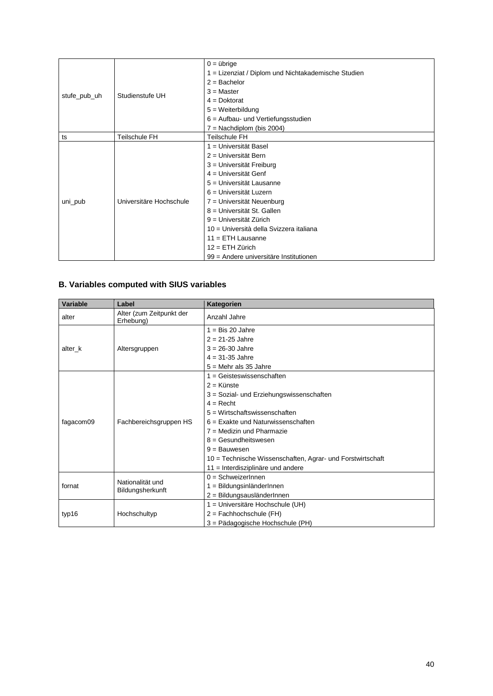|              |                         | $0 = 0$                                             |
|--------------|-------------------------|-----------------------------------------------------|
|              |                         | 1 = Lizenziat / Diplom und Nichtakademische Studien |
|              |                         | $2 =$ Bachelor                                      |
|              | Studienstufe UH         | $3$ = Master                                        |
| stufe_pub_uh |                         | $4 = Doktorat$                                      |
|              |                         | $5 = Weiterbildung$                                 |
|              |                         | $6$ = Aufbau- und Vertiefungsstudien                |
|              |                         | $7 =$ Nachdiplom (bis 2004)                         |
| ts           | Teilschule FH           | Teilschule FH                                       |
| uni_pub      |                         | 1 = Universität Basel                               |
|              |                         | 2 = Universität Bern                                |
|              |                         | 3 = Universität Freiburg                            |
|              |                         | 4 = Universität Genf                                |
|              |                         | 5 = Universität Lausanne                            |
|              |                         | 6 = Universität Luzern                              |
|              | Universitäre Hochschule | 7 = Universität Neuenburg                           |
|              |                         | 8 = Universität St. Gallen                          |
|              |                         | 9 = Universität Zürich                              |
|              |                         | 10 = Università della Svizzera italiana             |
|              |                         | 11 = ETH Lausanne                                   |
|              |                         | $12 = ETH Zürich$                                   |
|              |                         | 99 = Andere universitäre Institutionen              |

# **B. Variables computed with SIUS variables**

| Variable  | Label                                 | Kategorien                                                 |
|-----------|---------------------------------------|------------------------------------------------------------|
| alter     | Alter (zum Zeitpunkt der<br>Erhebung) | Anzahl Jahre                                               |
|           |                                       | $1 = Bis$ 20 Jahre                                         |
|           |                                       | $2 = 21 - 25$ Jahre                                        |
| alter k   | Altersgruppen                         | $3 = 26 - 30$ Jahre                                        |
|           |                                       | $4 = 31 - 35$ Jahre                                        |
|           |                                       | $5 =$ Mehr als 35 Jahre                                    |
|           |                                       | $1 = Geisteswissenschaften$                                |
|           |                                       | $2 =$ Künste                                               |
|           |                                       | 3 = Sozial- und Erziehungswissenschaften                   |
|           |                                       | $4 =$ Recht                                                |
|           |                                       | 5 = Wirtschaftswissenschaften                              |
| fagacom09 | Fachbereichsgruppen HS                | $6$ = Exakte und Naturwissenschaften                       |
|           |                                       | $7$ = Medizin und Pharmazie                                |
|           |                                       | $8 =$ Gesundheitswesen                                     |
|           |                                       | $9 =$ Bauwesen                                             |
|           |                                       | 10 = Technische Wissenschaften, Agrar- und Forstwirtschaft |
|           |                                       | 11 = Interdisziplinäre und andere                          |
|           | Nationalität und                      | $0 =$ SchweizerInnen                                       |
| fornat    | Bildungsherkunft                      | $1 = BildungsinländerInnen$                                |
|           |                                       | 2 = BildungsausländerInnen                                 |
|           |                                       | 1 = Universitäre Hochschule (UH)                           |
| typ16     | Hochschultyp                          | $2 =$ Fachhochschule (FH)                                  |
|           |                                       | 3 = Pädagogische Hochschule (PH)                           |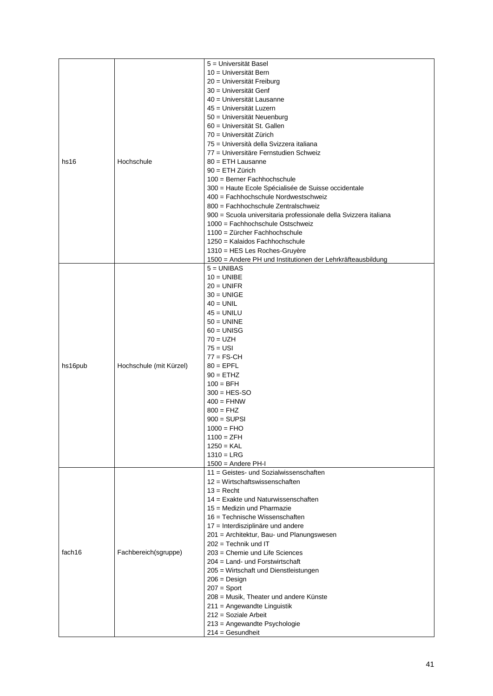|         |                         | 5 = Universität Basel                                                       |
|---------|-------------------------|-----------------------------------------------------------------------------|
|         |                         | 10 = Universität Bern                                                       |
|         |                         | 20 = Universität Freiburg                                                   |
|         |                         | 30 = Universität Genf                                                       |
|         |                         | 40 = Universität Lausanne                                                   |
|         |                         | 45 = Universität Luzern                                                     |
|         |                         | 50 = Universität Neuenburg                                                  |
|         |                         | 60 = Universität St. Gallen                                                 |
|         |                         | 70 = Universität Zürich                                                     |
|         |                         | 75 = Università della Svizzera italiana                                     |
|         |                         | 77 = Universitäre Fernstudien Schweiz                                       |
| hs16    | Hochschule              | $80 = ETH$ Lausanne                                                         |
|         |                         | $90 = ETH Zürich$                                                           |
|         |                         | 100 = Berner Fachhochschule                                                 |
|         |                         | 300 = Haute Ecole Spécialisée de Suisse occidentale                         |
|         |                         | 400 = Fachhochschule Nordwestschweiz                                        |
|         |                         | 800 = Fachhochschule Zentralschweiz                                         |
|         |                         | 900 = Scuola universitaria professionale della Svizzera italiana            |
|         |                         | 1000 = Fachhochschule Ostschweiz                                            |
|         |                         | 1100 = Zürcher Fachhochschule                                               |
|         |                         | 1250 = Kalaidos Fachhochschule<br>1310 = HES Les Roches-Gruyère             |
|         |                         |                                                                             |
|         |                         | 1500 = Andere PH und Institutionen der Lehrkräfteausbildung<br>$5 = UNIBAS$ |
|         |                         | $10 = UNIBE$                                                                |
|         |                         | $20 = UNIFR$                                                                |
|         |                         | $30 = UNIGE$                                                                |
|         |                         | $40 = UNIL$                                                                 |
|         |                         | $45 = UNILU$                                                                |
|         |                         | $50 = UNINE$                                                                |
|         |                         | $60 = UNISG$                                                                |
|         |                         | $70 = UZH$                                                                  |
|         |                         | $75 = USI$                                                                  |
|         |                         | $77 = FS-CH$                                                                |
| hs16pub | Hochschule (mit Kürzel) | $80 = EPFL$                                                                 |
|         |                         | $90 = ETHZ$                                                                 |
|         |                         | $100 = BFH$                                                                 |
|         |                         | $300 = HES-SO$                                                              |
|         |                         | $400 = FHNW$                                                                |
|         |                         | $800 = FHZ$                                                                 |
|         |                         | $900 = SUBS$                                                                |
|         |                         | $1000 = FHO$                                                                |
|         |                         | $1100 = ZFH$                                                                |
|         |                         | $1250 = KAL$                                                                |
|         |                         | $1310 = LRG$                                                                |
|         |                         | $1500 =$ Andere PH-I                                                        |
|         |                         | 11 = Geistes- und Sozialwissenschaften                                      |
|         |                         | $12 = W$ irtschaftswissenschaften                                           |
|         |                         | $13 =$ Recht                                                                |
|         |                         | 14 = Exakte und Naturwissenschaften                                         |
|         |                         | $15$ = Medizin und Pharmazie                                                |
|         |                         | 16 = Technische Wissenschaften                                              |
|         |                         | 17 = Interdisziplinäre und andere                                           |
|         |                         | 201 = Architektur, Bau- und Planungswesen<br>$202 =$ Technik und IT         |
| fach16  | Fachbereich(sgruppe)    | 203 = Chemie und Life Sciences                                              |
|         |                         | 204 = Land- und Forstwirtschaft                                             |
|         |                         | 205 = Wirtschaft und Dienstleistungen                                       |
|         |                         | $206 = Design$                                                              |
|         |                         | $207 =$ Sport                                                               |
|         |                         | 208 = Musik, Theater und andere Künste                                      |
|         |                         | 211 = Angewandte Linguistik                                                 |
|         |                         | $212 =$ Soziale Arbeit                                                      |
|         |                         | 213 = Angewandte Psychologie                                                |
|         |                         | $214 =$ Gesundheit                                                          |